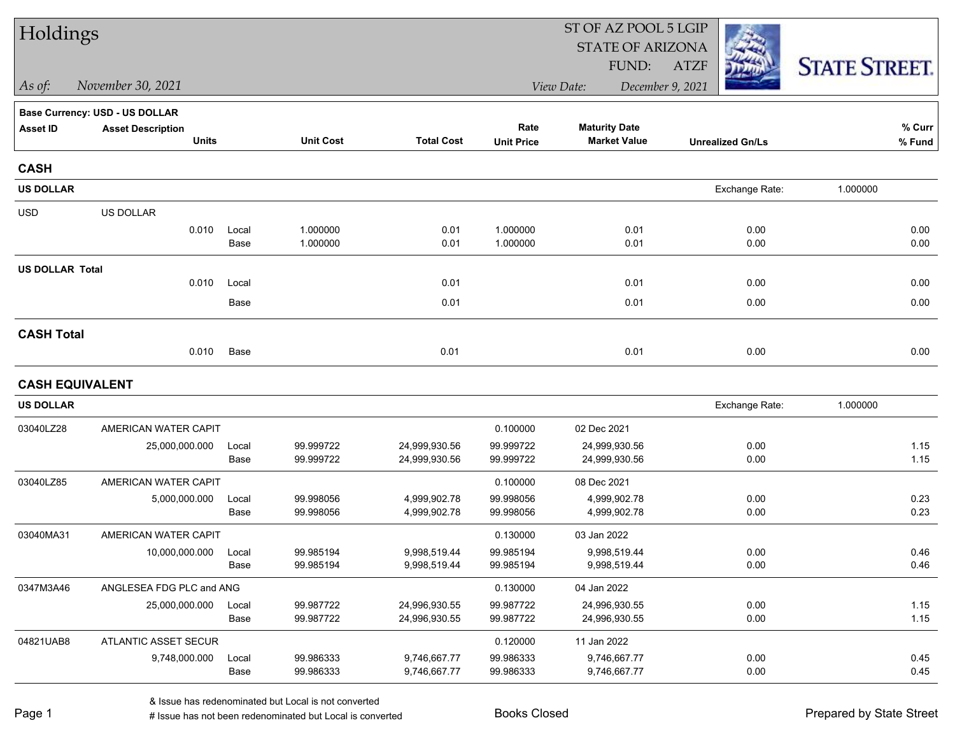| Holdings               |                                          |               |                        |                                | ST OF AZ POOL 5 LGIP      |                                             |                         |                      |  |  |
|------------------------|------------------------------------------|---------------|------------------------|--------------------------------|---------------------------|---------------------------------------------|-------------------------|----------------------|--|--|
|                        |                                          |               |                        |                                |                           | <b>STATE OF ARIZONA</b>                     |                         |                      |  |  |
|                        |                                          |               |                        |                                |                           | FUND:                                       | <b>ATZF</b>             | <b>STATE STREET.</b> |  |  |
| $\vert$ As of:         | November 30, 2021                        |               |                        |                                |                           | View Date:                                  | December 9, 2021        |                      |  |  |
|                        | <b>Base Currency: USD - US DOLLAR</b>    |               |                        |                                |                           |                                             |                         |                      |  |  |
| <b>Asset ID</b>        | <b>Asset Description</b><br><b>Units</b> |               | <b>Unit Cost</b>       | <b>Total Cost</b>              | Rate<br><b>Unit Price</b> | <b>Maturity Date</b><br><b>Market Value</b> | <b>Unrealized Gn/Ls</b> | % Curr<br>% Fund     |  |  |
|                        |                                          |               |                        |                                |                           |                                             |                         |                      |  |  |
| <b>CASH</b>            |                                          |               |                        |                                |                           |                                             |                         |                      |  |  |
| <b>US DOLLAR</b>       |                                          |               |                        |                                |                           |                                             | Exchange Rate:          | 1.000000             |  |  |
| <b>USD</b>             | US DOLLAR                                |               |                        |                                |                           |                                             |                         |                      |  |  |
|                        | 0.010                                    | Local         | 1.000000               | 0.01                           | 1.000000                  | 0.01                                        | 0.00                    | 0.00                 |  |  |
|                        |                                          | Base          | 1.000000               | 0.01                           | 1.000000                  | 0.01                                        | 0.00                    | 0.00                 |  |  |
| <b>US DOLLAR Total</b> |                                          |               |                        |                                |                           |                                             |                         |                      |  |  |
|                        | 0.010                                    | Local         |                        | 0.01                           |                           | 0.01                                        | 0.00                    | 0.00                 |  |  |
|                        |                                          | Base          |                        | 0.01                           |                           | 0.01                                        | 0.00                    | 0.00                 |  |  |
| <b>CASH Total</b>      |                                          |               |                        |                                |                           |                                             |                         |                      |  |  |
|                        | 0.010                                    | Base          |                        | 0.01                           |                           | 0.01                                        | 0.00                    | 0.00                 |  |  |
| <b>CASH EQUIVALENT</b> |                                          |               |                        |                                |                           |                                             |                         |                      |  |  |
| <b>US DOLLAR</b>       |                                          |               |                        |                                |                           |                                             | Exchange Rate:          | 1.000000             |  |  |
| 03040LZ28              | AMERICAN WATER CAPIT                     |               |                        |                                | 0.100000                  | 02 Dec 2021                                 |                         |                      |  |  |
|                        | 25,000,000.000                           | Local         | 99.999722              | 24,999,930.56                  | 99.999722                 | 24,999,930.56                               | 0.00                    | 1.15                 |  |  |
|                        |                                          | Base          | 99.999722              | 24,999,930.56                  | 99.999722                 | 24,999,930.56                               | 0.00                    | 1.15                 |  |  |
| 03040LZ85              | AMERICAN WATER CAPIT                     |               |                        |                                | 0.100000                  | 08 Dec 2021                                 |                         |                      |  |  |
|                        | 5,000,000.000                            | Local         | 99.998056              | 4,999,902.78                   | 99.998056                 | 4,999,902.78                                | 0.00                    | 0.23                 |  |  |
|                        |                                          | Base          | 99.998056              | 4,999,902.78                   | 99.998056                 | 4,999,902.78                                | 0.00                    | 0.23                 |  |  |
| 03040MA31              | AMERICAN WATER CAPIT                     |               |                        |                                | 0.130000                  | 03 Jan 2022                                 |                         |                      |  |  |
|                        | 10,000,000.000                           | Local         | 99.985194              | 9,998,519.44                   | 99.985194                 | 9,998,519.44                                | 0.00                    | 0.46                 |  |  |
|                        |                                          | Base          | 99.985194              | 9,998,519.44                   | 99.985194                 | 9,998,519.44                                | 0.00                    | 0.46                 |  |  |
| 0347M3A46              | ANGLESEA FDG PLC and ANG                 |               |                        |                                | 0.130000                  | 04 Jan 2022                                 |                         |                      |  |  |
|                        | 25,000,000.000                           | Local<br>Base | 99.987722<br>99.987722 | 24,996,930.55<br>24,996,930.55 | 99.987722<br>99.987722    | 24,996,930.55<br>24,996,930.55              | 0.00<br>0.00            | 1.15<br>1.15         |  |  |
|                        |                                          |               |                        |                                |                           |                                             |                         |                      |  |  |
| 04821UAB8              | ATLANTIC ASSET SECUR                     |               |                        |                                | 0.120000                  | 11 Jan 2022                                 |                         |                      |  |  |
|                        | 9,748,000.000                            | Local<br>Base | 99.986333<br>99.986333 | 9,746,667.77<br>9,746,667.77   | 99.986333<br>99.986333    | 9,746,667.77<br>9,746,667.77                | 0.00<br>0.00            | 0.45<br>0.45         |  |  |
|                        |                                          |               |                        |                                |                           |                                             |                         |                      |  |  |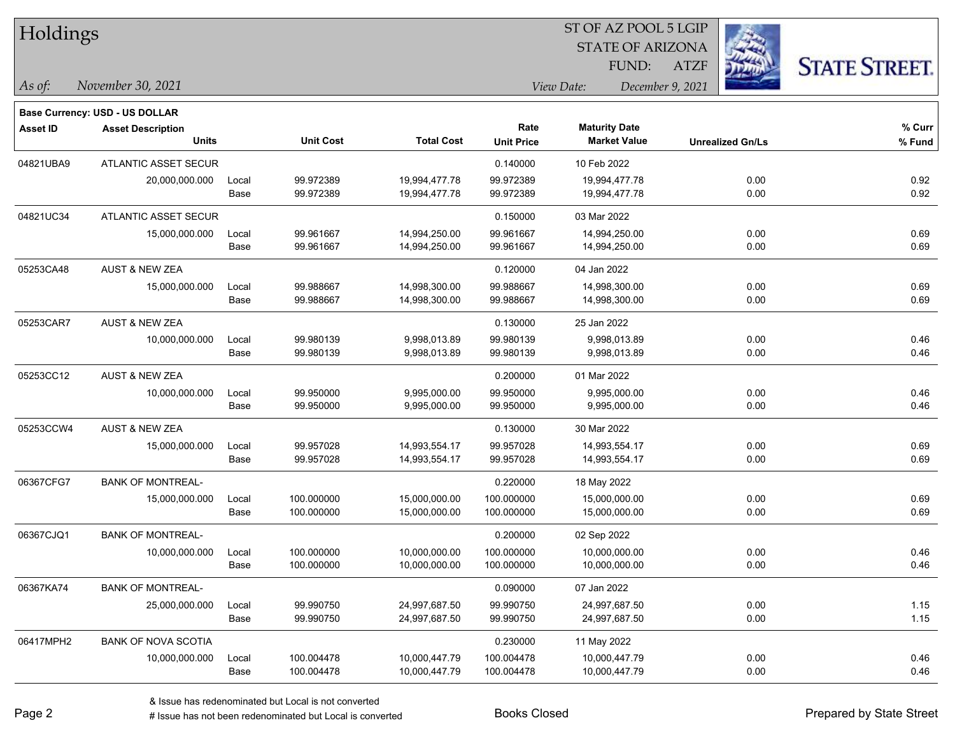| Holdings        |                                       |       |                  |                   |                                |                         | ST OF AZ POOL 5 LGIP |                         |                      |  |
|-----------------|---------------------------------------|-------|------------------|-------------------|--------------------------------|-------------------------|----------------------|-------------------------|----------------------|--|
|                 |                                       |       |                  |                   |                                | <b>STATE OF ARIZONA</b> |                      |                         |                      |  |
|                 |                                       |       |                  |                   |                                | FUND:                   | <b>ATZF</b>          |                         | <b>STATE STREET.</b> |  |
| As of:          | November 30, 2021                     |       |                  |                   | View Date:<br>December 9, 2021 |                         |                      |                         |                      |  |
|                 | <b>Base Currency: USD - US DOLLAR</b> |       |                  |                   |                                |                         |                      |                         |                      |  |
| <b>Asset ID</b> | <b>Asset Description</b>              |       |                  |                   | Rate                           | <b>Maturity Date</b>    |                      |                         | % Curr               |  |
|                 | <b>Units</b>                          |       | <b>Unit Cost</b> | <b>Total Cost</b> | <b>Unit Price</b>              | <b>Market Value</b>     |                      | <b>Unrealized Gn/Ls</b> | % Fund               |  |
| 04821UBA9       | ATLANTIC ASSET SECUR                  |       |                  |                   | 0.140000                       | 10 Feb 2022             |                      |                         |                      |  |
|                 | 20,000,000.000                        | Local | 99.972389        | 19,994,477.78     | 99.972389                      | 19,994,477.78           |                      | 0.00                    | 0.92                 |  |
|                 |                                       | Base  | 99.972389        | 19,994,477.78     | 99.972389                      | 19,994,477.78           |                      | 0.00                    | 0.92                 |  |
| 04821UC34       | ATLANTIC ASSET SECUR                  |       |                  |                   | 0.150000                       | 03 Mar 2022             |                      |                         |                      |  |
|                 | 15,000,000.000                        | Local | 99.961667        | 14,994,250.00     | 99.961667                      | 14,994,250.00           |                      | 0.00                    | 0.69                 |  |
|                 |                                       | Base  | 99.961667        | 14,994,250.00     | 99.961667                      | 14,994,250.00           |                      | 0.00                    | 0.69                 |  |
| 05253CA48       | <b>AUST &amp; NEW ZEA</b>             |       |                  |                   | 0.120000                       | 04 Jan 2022             |                      |                         |                      |  |
|                 | 15,000,000.000                        | Local | 99.988667        | 14,998,300.00     | 99.988667                      | 14,998,300.00           |                      | 0.00                    | 0.69                 |  |
|                 |                                       | Base  | 99.988667        | 14,998,300.00     | 99.988667                      | 14,998,300.00           |                      | 0.00                    | 0.69                 |  |
| 05253CAR7       | <b>AUST &amp; NEW ZEA</b>             |       |                  |                   | 0.130000                       | 25 Jan 2022             |                      |                         |                      |  |
|                 | 10,000,000.000                        | Local | 99.980139        | 9,998,013.89      | 99.980139                      | 9,998,013.89            |                      | 0.00                    | 0.46                 |  |
|                 |                                       | Base  | 99.980139        | 9,998,013.89      | 99.980139                      | 9,998,013.89            |                      | 0.00                    | 0.46                 |  |
| 05253CC12       | <b>AUST &amp; NEW ZEA</b>             |       |                  |                   | 0.200000                       | 01 Mar 2022             |                      |                         |                      |  |
|                 | 10,000,000.000                        | Local | 99.950000        | 9,995,000.00      | 99.950000                      | 9,995,000.00            |                      | 0.00                    | 0.46                 |  |
|                 |                                       | Base  | 99.950000        | 9,995,000.00      | 99.950000                      | 9,995,000.00            |                      | 0.00                    | 0.46                 |  |
| 05253CCW4       | <b>AUST &amp; NEW ZEA</b>             |       |                  |                   | 0.130000                       | 30 Mar 2022             |                      |                         |                      |  |
|                 | 15,000,000.000                        | Local | 99.957028        | 14,993,554.17     | 99.957028                      | 14,993,554.17           |                      | 0.00                    | 0.69                 |  |
|                 |                                       | Base  | 99.957028        | 14,993,554.17     | 99.957028                      | 14,993,554.17           |                      | 0.00                    | 0.69                 |  |
| 06367CFG7       | <b>BANK OF MONTREAL-</b>              |       |                  |                   | 0.220000                       | 18 May 2022             |                      |                         |                      |  |
|                 | 15,000,000.000                        | Local | 100.000000       | 15,000,000.00     | 100.000000                     | 15,000,000.00           |                      | 0.00                    | 0.69                 |  |
|                 |                                       | Base  | 100.000000       | 15,000,000.00     | 100.000000                     | 15,000,000.00           |                      | 0.00                    | 0.69                 |  |
| 06367CJQ1       | <b>BANK OF MONTREAL-</b>              |       |                  |                   | 0.200000                       | 02 Sep 2022             |                      |                         |                      |  |
|                 | 10,000,000.000                        | Local | 100.000000       | 10,000,000.00     | 100.000000                     | 10,000,000.00           |                      | 0.00                    | 0.46                 |  |
|                 |                                       | Base  | 100.000000       | 10,000,000.00     | 100.000000                     | 10,000,000.00           |                      | 0.00                    | 0.46                 |  |
| 06367KA74       | <b>BANK OF MONTREAL-</b>              |       |                  |                   | 0.090000                       | 07 Jan 2022             |                      |                         |                      |  |
|                 | 25,000,000.000                        | Local | 99.990750        | 24,997,687.50     | 99.990750                      | 24,997,687.50           |                      | 0.00                    | 1.15                 |  |
|                 |                                       | Base  | 99.990750        | 24,997,687.50     | 99.990750                      | 24,997,687.50           |                      | 0.00                    | 1.15                 |  |
| 06417MPH2       | <b>BANK OF NOVA SCOTIA</b>            |       |                  |                   | 0.230000                       | 11 May 2022             |                      |                         |                      |  |
|                 | 10,000,000.000                        | Local | 100.004478       | 10,000,447.79     | 100.004478                     | 10,000,447.79           |                      | 0.00                    | 0.46                 |  |
|                 |                                       | Base  | 100.004478       | 10,000,447.79     | 100.004478                     | 10,000,447.79           |                      | 0.00                    | 0.46                 |  |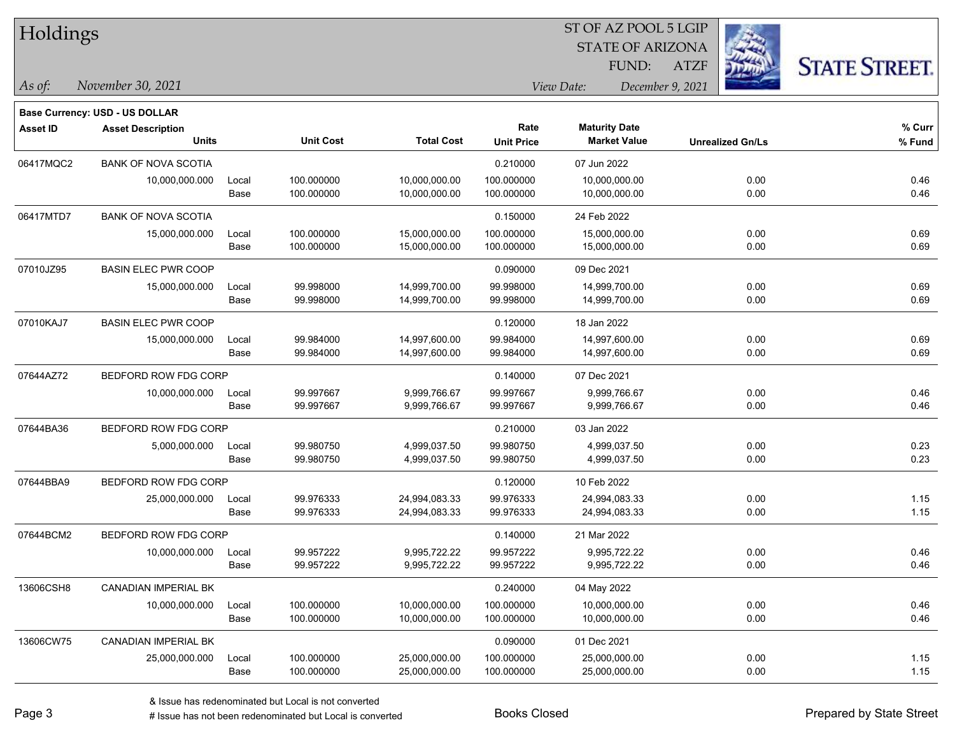| Holdings |  |
|----------|--|
|----------|--|

**Base Currency: USD - US DOLLAR**

STATE OF ARIZONA ATZF ST OF AZ POOL 5 LGIP FUND:



*November 30, 2021 As of: View Date: December 9, 2021*

| Asset ID  | <b>Asset Description</b>    |       |                  | Rate              |                   | <b>Maturity Date</b> |                         | % Curr |
|-----------|-----------------------------|-------|------------------|-------------------|-------------------|----------------------|-------------------------|--------|
|           | <b>Units</b>                |       | <b>Unit Cost</b> | <b>Total Cost</b> | <b>Unit Price</b> | <b>Market Value</b>  | <b>Unrealized Gn/Ls</b> | % Fund |
| 06417MQC2 | <b>BANK OF NOVA SCOTIA</b>  |       |                  |                   | 0.210000          | 07 Jun 2022          |                         |        |
|           | 10,000,000.000              | Local | 100.000000       | 10,000,000.00     | 100.000000        | 10,000,000.00        | 0.00                    | 0.46   |
|           |                             | Base  | 100.000000       | 10,000,000.00     | 100.000000        | 10,000,000.00        | 0.00                    | 0.46   |
| 06417MTD7 | <b>BANK OF NOVA SCOTIA</b>  |       |                  |                   | 0.150000          | 24 Feb 2022          |                         |        |
|           | 15,000,000.000              | Local | 100.000000       | 15,000,000.00     | 100.000000        | 15,000,000.00        | 0.00                    | 0.69   |
|           |                             | Base  | 100.000000       | 15,000,000.00     | 100.000000        | 15,000,000.00        | 0.00                    | 0.69   |
| 07010JZ95 | <b>BASIN ELEC PWR COOP</b>  |       |                  |                   | 0.090000          | 09 Dec 2021          |                         |        |
|           | 15,000,000.000              | Local | 99.998000        | 14,999,700.00     | 99.998000         | 14,999,700.00        | 0.00                    | 0.69   |
|           |                             | Base  | 99.998000        | 14,999,700.00     | 99.998000         | 14,999,700.00        | 0.00                    | 0.69   |
| 07010KAJ7 | <b>BASIN ELEC PWR COOP</b>  |       |                  |                   | 0.120000          | 18 Jan 2022          |                         |        |
|           | 15,000,000.000              | Local | 99.984000        | 14,997,600.00     | 99.984000         | 14,997,600.00        | 0.00                    | 0.69   |
|           |                             | Base  | 99.984000        | 14,997,600.00     | 99.984000         | 14,997,600.00        | 0.00                    | 0.69   |
| 07644AZ72 | BEDFORD ROW FDG CORP        |       |                  |                   | 0.140000          | 07 Dec 2021          |                         |        |
|           | 10,000,000.000              | Local | 99.997667        | 9,999,766.67      | 99.997667         | 9,999,766.67         | 0.00                    | 0.46   |
|           |                             | Base  | 99.997667        | 9,999,766.67      | 99.997667         | 9,999,766.67         | 0.00                    | 0.46   |
| 07644BA36 | BEDFORD ROW FDG CORP        |       |                  |                   | 0.210000          | 03 Jan 2022          |                         |        |
|           | 5,000,000.000               | Local | 99.980750        | 4,999,037.50      | 99.980750         | 4,999,037.50         | 0.00                    | 0.23   |
|           |                             | Base  | 99.980750        | 4,999,037.50      | 99.980750         | 4,999,037.50         | 0.00                    | 0.23   |
| 07644BBA9 | BEDFORD ROW FDG CORP        |       |                  |                   | 0.120000          | 10 Feb 2022          |                         |        |
|           | 25,000,000.000              | Local | 99.976333        | 24,994,083.33     | 99.976333         | 24,994,083.33        | 0.00                    | 1.15   |
|           |                             | Base  | 99.976333        | 24,994,083.33     | 99.976333         | 24,994,083.33        | 0.00                    | 1.15   |
| 07644BCM2 | BEDFORD ROW FDG CORP        |       |                  |                   | 0.140000          | 21 Mar 2022          |                         |        |
|           | 10,000,000.000              | Local | 99.957222        | 9,995,722.22      | 99.957222         | 9,995,722.22         | 0.00                    | 0.46   |
|           |                             | Base  | 99.957222        | 9,995,722.22      | 99.957222         | 9,995,722.22         | 0.00                    | 0.46   |
| 13606CSH8 | <b>CANADIAN IMPERIAL BK</b> |       |                  |                   | 0.240000          | 04 May 2022          |                         |        |
|           | 10,000,000.000              | Local | 100.000000       | 10,000,000.00     | 100.000000        | 10,000,000.00        | 0.00                    | 0.46   |
|           |                             | Base  | 100.000000       | 10,000,000.00     | 100.000000        | 10,000,000.00        | 0.00                    | 0.46   |
| 13606CW75 | CANADIAN IMPERIAL BK        |       |                  |                   | 0.090000          | 01 Dec 2021          |                         |        |
|           | 25,000,000.000              | Local | 100.000000       | 25,000,000.00     | 100.000000        | 25,000,000.00        | 0.00                    | 1.15   |
|           |                             | Base  | 100.000000       | 25,000,000.00     | 100.000000        | 25,000,000.00        | 0.00                    | 1.15   |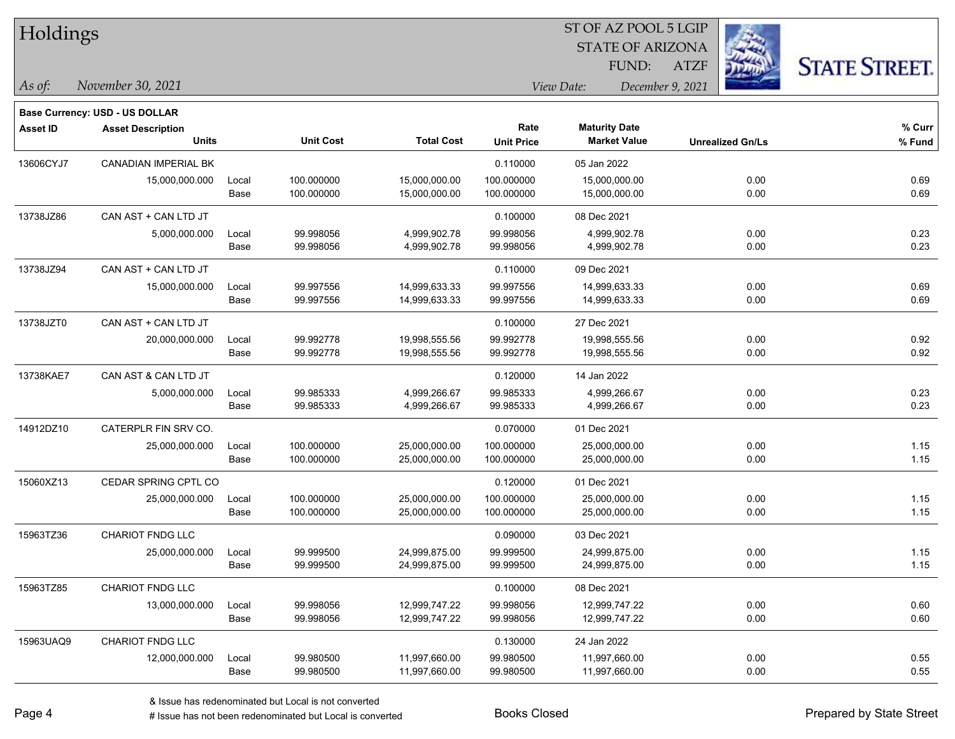| Holdings        |                                                                   |       |                  |                   |                   |                      | ST OF AZ POOL 5 LGIP    |                         |                      |
|-----------------|-------------------------------------------------------------------|-------|------------------|-------------------|-------------------|----------------------|-------------------------|-------------------------|----------------------|
|                 |                                                                   |       |                  |                   |                   |                      | <b>STATE OF ARIZONA</b> |                         |                      |
|                 |                                                                   |       |                  |                   |                   |                      | FUND:<br><b>ATZF</b>    |                         | <b>STATE STREET.</b> |
| As of:          | November 30, 2021                                                 |       |                  |                   |                   | View Date:           | December 9, 2021        |                         |                      |
|                 |                                                                   |       |                  |                   |                   |                      |                         |                         |                      |
| <b>Asset ID</b> | <b>Base Currency: USD - US DOLLAR</b><br><b>Asset Description</b> |       |                  |                   | Rate              | <b>Maturity Date</b> |                         |                         | % Curr               |
|                 | <b>Units</b>                                                      |       | <b>Unit Cost</b> | <b>Total Cost</b> | <b>Unit Price</b> | <b>Market Value</b>  |                         | <b>Unrealized Gn/Ls</b> | % Fund               |
| 13606CYJ7       | <b>CANADIAN IMPERIAL BK</b>                                       |       |                  |                   | 0.110000          | 05 Jan 2022          |                         |                         |                      |
|                 | 15,000,000.000                                                    | Local | 100.000000       | 15,000,000.00     | 100.000000        | 15,000,000.00        |                         | 0.00                    | 0.69                 |
|                 |                                                                   | Base  | 100.000000       | 15,000,000.00     | 100.000000        | 15,000,000.00        |                         | 0.00                    | 0.69                 |
| 13738JZ86       | CAN AST + CAN LTD JT                                              |       |                  |                   | 0.100000          | 08 Dec 2021          |                         |                         |                      |
|                 | 5,000,000.000                                                     | Local | 99.998056        | 4,999,902.78      | 99.998056         | 4,999,902.78         |                         | 0.00                    | 0.23                 |
|                 |                                                                   | Base  | 99.998056        | 4,999,902.78      | 99.998056         | 4,999,902.78         |                         | 0.00                    | 0.23                 |
| 13738JZ94       | CAN AST + CAN LTD JT                                              |       |                  |                   | 0.110000          | 09 Dec 2021          |                         |                         |                      |
|                 | 15,000,000.000                                                    | Local | 99.997556        | 14,999,633.33     | 99.997556         | 14,999,633.33        |                         | 0.00                    | 0.69                 |
|                 |                                                                   | Base  | 99.997556        | 14,999,633.33     | 99.997556         | 14,999,633.33        |                         | 0.00                    | 0.69                 |
| 13738JZT0       | CAN AST + CAN LTD JT                                              |       |                  |                   | 0.100000          | 27 Dec 2021          |                         |                         |                      |
|                 | 20,000,000.000                                                    | Local | 99.992778        | 19,998,555.56     | 99.992778         | 19,998,555.56        |                         | 0.00                    | 0.92                 |
|                 |                                                                   | Base  | 99.992778        | 19,998,555.56     | 99.992778         | 19,998,555.56        |                         | 0.00                    | 0.92                 |
| 13738KAE7       | CAN AST & CAN LTD JT                                              |       |                  |                   | 0.120000          | 14 Jan 2022          |                         |                         |                      |
|                 | 5,000,000.000                                                     | Local | 99.985333        | 4,999,266.67      | 99.985333         | 4,999,266.67         |                         | 0.00                    | 0.23                 |
|                 |                                                                   | Base  | 99.985333        | 4,999,266.67      | 99.985333         | 4,999,266.67         |                         | 0.00                    | 0.23                 |
| 14912DZ10       | CATERPLR FIN SRV CO.                                              |       |                  |                   | 0.070000          | 01 Dec 2021          |                         |                         |                      |
|                 | 25,000,000.000                                                    | Local | 100.000000       | 25,000,000.00     | 100.000000        | 25,000,000.00        |                         | 0.00                    | 1.15                 |
|                 |                                                                   | Base  | 100.000000       | 25,000,000.00     | 100.000000        | 25,000,000.00        |                         | 0.00                    | 1.15                 |
| 15060XZ13       | CEDAR SPRING CPTL CO                                              |       |                  |                   | 0.120000          | 01 Dec 2021          |                         |                         |                      |
|                 | 25,000,000.000                                                    | Local | 100.000000       | 25,000,000.00     | 100.000000        | 25,000,000.00        |                         | 0.00                    | 1.15                 |
|                 |                                                                   | Base  | 100.000000       | 25,000,000.00     | 100.000000        | 25,000,000.00        |                         | 0.00                    | 1.15                 |
| 15963TZ36       | CHARIOT FNDG LLC                                                  |       |                  |                   | 0.090000          | 03 Dec 2021          |                         |                         |                      |
|                 | 25,000,000.000                                                    | Local | 99.999500        | 24,999,875.00     | 99.999500         | 24,999,875.00        |                         | 0.00                    | 1.15                 |
|                 |                                                                   | Base  | 99.999500        | 24,999,875.00     | 99.999500         | 24,999,875.00        |                         | 0.00                    | 1.15                 |
| 15963TZ85       | <b>CHARIOT FNDG LLC</b>                                           |       |                  |                   | 0.100000          | 08 Dec 2021          |                         |                         |                      |
|                 | 13,000,000.000                                                    | Local | 99.998056        | 12,999,747.22     | 99.998056         | 12,999,747.22        |                         | 0.00                    | 0.60                 |
|                 |                                                                   | Base  | 99.998056        | 12,999,747.22     | 99.998056         | 12,999,747.22        |                         | 0.00                    | 0.60                 |
| 15963UAQ9       | CHARIOT FNDG LLC                                                  |       |                  |                   | 0.130000          | 24 Jan 2022          |                         |                         |                      |
|                 | 12,000,000.000                                                    | Local | 99.980500        | 11,997,660.00     | 99.980500         | 11,997,660.00        |                         | 0.00                    | 0.55                 |
|                 |                                                                   | Base  | 99.980500        | 11,997,660.00     | 99.980500         | 11,997,660.00        |                         | 0.00                    | 0.55                 |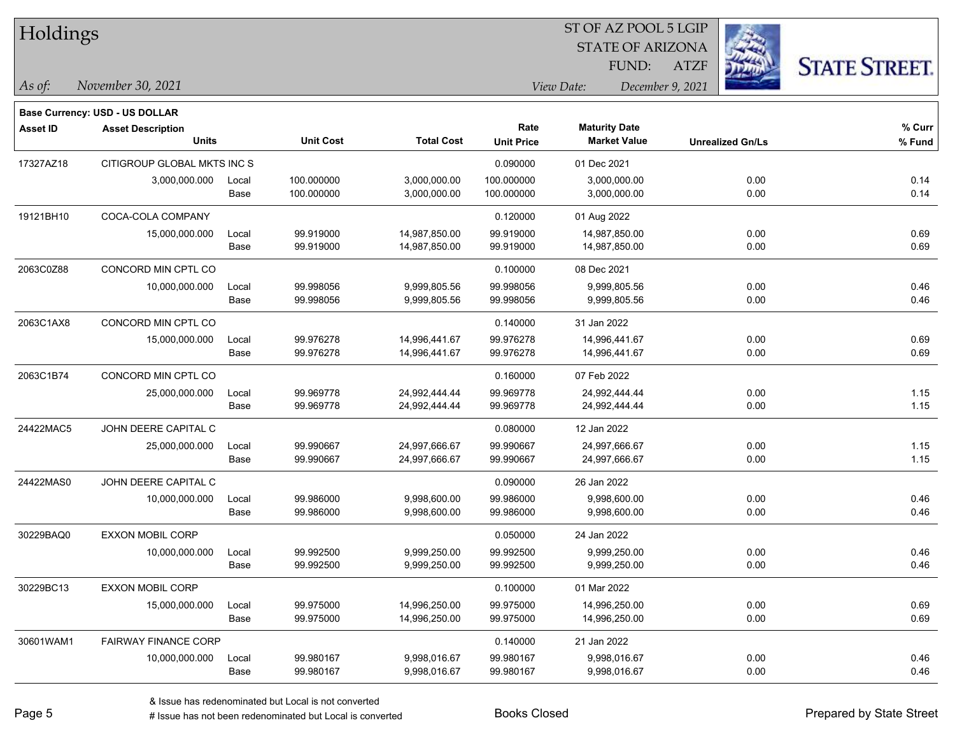| Holdings  |                                          |               |                          |                                |                           | ST OF AZ POOL 5 LGIP<br><b>STATE OF ARIZONA</b> |                         |              |                      |
|-----------|------------------------------------------|---------------|--------------------------|--------------------------------|---------------------------|-------------------------------------------------|-------------------------|--------------|----------------------|
|           |                                          |               |                          |                                |                           | FUND:                                           | <b>ATZF</b>             |              | <b>STATE STREET.</b> |
| As of:    | November 30, 2021                        |               |                          |                                |                           | View Date:<br>December 9, 2021                  |                         |              |                      |
|           | Base Currency: USD - US DOLLAR           |               |                          |                                |                           |                                                 |                         |              |                      |
| Asset ID  | <b>Asset Description</b><br><b>Units</b> |               | <b>Unit Cost</b>         | <b>Total Cost</b>              | Rate<br><b>Unit Price</b> | <b>Maturity Date</b><br><b>Market Value</b>     | <b>Unrealized Gn/Ls</b> |              | % Curr<br>% Fund     |
| 17327AZ18 | CITIGROUP GLOBAL MKTS INC S              |               |                          |                                | 0.090000                  | 01 Dec 2021                                     |                         |              |                      |
|           | 3,000,000.000                            | Local<br>Base | 100.000000<br>100.000000 | 3,000,000.00<br>3,000,000.00   | 100.000000<br>100.000000  | 3,000,000.00<br>3,000,000.00                    |                         | 0.00<br>0.00 | 0.14<br>0.14         |
| 19121BH10 | COCA-COLA COMPANY                        |               |                          |                                | 0.120000                  | 01 Aug 2022                                     |                         |              |                      |
|           | 15,000,000.000                           | Local<br>Base | 99.919000<br>99.919000   | 14,987,850.00<br>14,987,850.00 | 99.919000<br>99.919000    | 14,987,850.00<br>14,987,850.00                  |                         | 0.00<br>0.00 | 0.69<br>0.69         |
| 2063C0Z88 | CONCORD MIN CPTL CO                      |               |                          |                                | 0.100000                  | 08 Dec 2021                                     |                         |              |                      |
|           | 10,000,000.000                           | Local<br>Base | 99.998056<br>99.998056   | 9,999,805.56<br>9,999,805.56   | 99.998056<br>99.998056    | 9,999,805.56<br>9,999,805.56                    |                         | 0.00<br>0.00 | 0.46<br>0.46         |
| 2063C1AX8 | CONCORD MIN CPTL CO                      |               |                          |                                | 0.140000                  | 31 Jan 2022                                     |                         |              |                      |
|           | 15,000,000.000                           | Local<br>Base | 99.976278<br>99.976278   | 14,996,441.67<br>14,996,441.67 | 99.976278<br>99.976278    | 14,996,441.67<br>14,996,441.67                  |                         | 0.00<br>0.00 | 0.69<br>0.69         |
| 2063C1B74 | CONCORD MIN CPTL CO                      |               |                          |                                | 0.160000                  | 07 Feb 2022                                     |                         |              |                      |
|           | 25,000,000.000                           | Local<br>Base | 99.969778<br>99.969778   | 24,992,444.44<br>24,992,444.44 | 99.969778<br>99.969778    | 24,992,444.44<br>24,992,444.44                  |                         | 0.00<br>0.00 | 1.15<br>1.15         |
| 24422MAC5 | JOHN DEERE CAPITAL C                     |               |                          |                                | 0.080000                  | 12 Jan 2022                                     |                         |              |                      |
|           | 25,000,000.000                           | Local<br>Base | 99.990667<br>99.990667   | 24,997,666.67<br>24,997,666.67 | 99.990667<br>99.990667    | 24,997,666.67<br>24,997,666.67                  |                         | 0.00<br>0.00 | 1.15<br>1.15         |
| 24422MAS0 | JOHN DEERE CAPITAL C                     |               |                          |                                | 0.090000                  | 26 Jan 2022                                     |                         |              |                      |
|           | 10,000,000.000                           | Local<br>Base | 99.986000<br>99.986000   | 9,998,600.00<br>9,998,600.00   | 99.986000<br>99.986000    | 9,998,600.00<br>9,998,600.00                    |                         | 0.00<br>0.00 | 0.46<br>0.46         |
| 30229BAQ0 | <b>EXXON MOBIL CORP</b>                  |               |                          |                                | 0.050000                  | 24 Jan 2022                                     |                         |              |                      |
|           | 10,000,000.000                           | Local<br>Base | 99.992500<br>99.992500   | 9,999,250.00<br>9,999,250.00   | 99.992500<br>99.992500    | 9,999,250.00<br>9,999,250.00                    |                         | 0.00<br>0.00 | 0.46<br>0.46         |
| 30229BC13 | <b>EXXON MOBIL CORP</b>                  |               |                          |                                | 0.100000                  | 01 Mar 2022                                     |                         |              |                      |
|           | 15,000,000.000                           | Local<br>Base | 99.975000<br>99.975000   | 14,996,250.00<br>14,996,250.00 | 99.975000<br>99.975000    | 14,996,250.00<br>14,996,250.00                  |                         | 0.00<br>0.00 | 0.69<br>0.69         |
| 30601WAM1 | <b>FAIRWAY FINANCE CORP</b>              |               |                          |                                | 0.140000                  | 21 Jan 2022                                     |                         |              |                      |
|           | 10,000,000.000 Local                     |               | 99.980167                | 9,998,016.67                   | 99.980167                 | 9,998,016.67                                    |                         | 0.00         | 0.46                 |

-

 $\overline{\phantom{0}}$ 

÷.

Base 99.980167 9,998,016.67 99.980167 9,998,016.67 0.00 0.46

ST OF AZ POOL 5 LGIP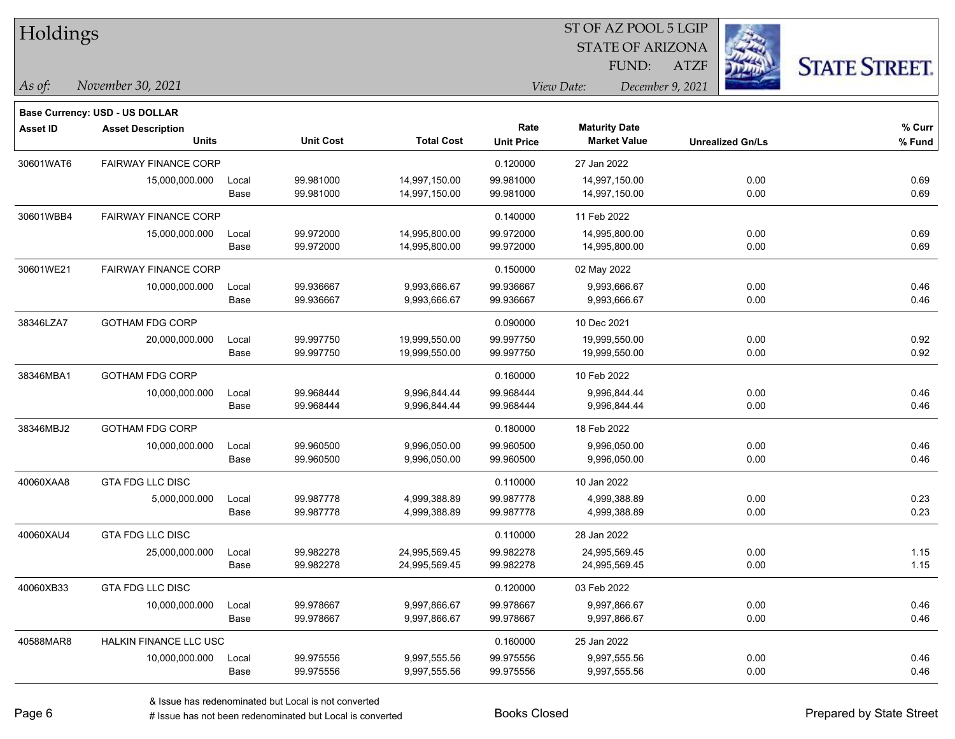| Holdings        |                                       |       |                  |                   | ST OF AZ POOL 5 LGIP |                         |                         |      |                      |  |
|-----------------|---------------------------------------|-------|------------------|-------------------|----------------------|-------------------------|-------------------------|------|----------------------|--|
|                 |                                       |       |                  |                   |                      | <b>STATE OF ARIZONA</b> |                         |      |                      |  |
|                 |                                       |       |                  |                   |                      | FUND:                   | ATZF                    |      | <b>STATE STREET.</b> |  |
| $\vert$ As of:  | November 30, 2021                     |       |                  |                   |                      | View Date:              | December 9, 2021        |      |                      |  |
|                 | <b>Base Currency: USD - US DOLLAR</b> |       |                  |                   |                      |                         |                         |      |                      |  |
| <b>Asset ID</b> | <b>Asset Description</b>              |       |                  |                   | Rate                 | <b>Maturity Date</b>    |                         |      | $%$ Curr             |  |
|                 | <b>Units</b>                          |       | <b>Unit Cost</b> | <b>Total Cost</b> | <b>Unit Price</b>    | <b>Market Value</b>     | <b>Unrealized Gn/Ls</b> |      | % Fund               |  |
| 30601WAT6       | <b>FAIRWAY FINANCE CORP</b>           |       |                  |                   | 0.120000             | 27 Jan 2022             |                         |      |                      |  |
|                 | 15,000,000.000                        | Local | 99.981000        | 14,997,150.00     | 99.981000            | 14,997,150.00           |                         | 0.00 | 0.69                 |  |
|                 |                                       | Base  | 99.981000        | 14,997,150.00     | 99.981000            | 14,997,150.00           |                         | 0.00 | 0.69                 |  |
| 30601WBB4       | <b>FAIRWAY FINANCE CORP</b>           |       |                  |                   | 0.140000             | 11 Feb 2022             |                         |      |                      |  |
|                 | 15,000,000.000                        | Local | 99.972000        | 14,995,800.00     | 99.972000            | 14,995,800.00           |                         | 0.00 | 0.69                 |  |
|                 |                                       | Base  | 99.972000        | 14,995,800.00     | 99.972000            | 14,995,800.00           |                         | 0.00 | 0.69                 |  |
| 30601WE21       | <b>FAIRWAY FINANCE CORP</b>           |       |                  |                   | 0.150000             | 02 May 2022             |                         |      |                      |  |
|                 | 10,000,000.000                        | Local | 99.936667        | 9,993,666.67      | 99.936667            | 9,993,666.67            |                         | 0.00 | 0.46                 |  |
|                 |                                       | Base  | 99.936667        | 9,993,666.67      | 99.936667            | 9,993,666.67            |                         | 0.00 | 0.46                 |  |
| 38346LZA7       | <b>GOTHAM FDG CORP</b>                |       |                  |                   | 0.090000             | 10 Dec 2021             |                         |      |                      |  |
|                 | 20,000,000.000                        | Local | 99.997750        | 19,999,550.00     | 99.997750            | 19,999,550.00           |                         | 0.00 | 0.92                 |  |
|                 |                                       | Base  | 99.997750        | 19,999,550.00     | 99.997750            | 19,999,550.00           |                         | 0.00 | 0.92                 |  |
| 38346MBA1       | <b>GOTHAM FDG CORP</b>                |       |                  |                   | 0.160000             | 10 Feb 2022             |                         |      |                      |  |
|                 | 10,000,000.000                        | Local | 99.968444        | 9,996,844.44      | 99.968444            | 9,996,844.44            |                         | 0.00 | 0.46                 |  |
|                 |                                       | Base  | 99.968444        | 9,996,844.44      | 99.968444            | 9,996,844.44            |                         | 0.00 | 0.46                 |  |
| 38346MBJ2       | <b>GOTHAM FDG CORP</b>                |       |                  |                   | 0.180000             | 18 Feb 2022             |                         |      |                      |  |
|                 | 10,000,000.000                        | Local | 99.960500        | 9,996,050.00      | 99.960500            | 9,996,050.00            |                         | 0.00 | 0.46                 |  |
|                 |                                       | Base  | 99.960500        | 9,996,050.00      | 99.960500            | 9,996,050.00            |                         | 0.00 | 0.46                 |  |
| 40060XAA8       | <b>GTA FDG LLC DISC</b>               |       |                  |                   | 0.110000             | 10 Jan 2022             |                         |      |                      |  |
|                 | 5,000,000.000                         | Local | 99.987778        | 4,999,388.89      | 99.987778            | 4,999,388.89            |                         | 0.00 | 0.23                 |  |
|                 |                                       | Base  | 99.987778        | 4,999,388.89      | 99.987778            | 4,999,388.89            |                         | 0.00 | 0.23                 |  |
| 40060XAU4       | <b>GTA FDG LLC DISC</b>               |       |                  |                   | 0.110000             | 28 Jan 2022             |                         |      |                      |  |
|                 | 25,000,000.000                        | Local | 99.982278        | 24,995,569.45     | 99.982278            | 24,995,569.45           |                         | 0.00 | 1.15                 |  |
|                 |                                       | Base  | 99.982278        | 24,995,569.45     | 99.982278            | 24,995,569.45           |                         | 0.00 | 1.15                 |  |
| 40060XB33       | <b>GTA FDG LLC DISC</b>               |       |                  |                   | 0.120000             | 03 Feb 2022             |                         |      |                      |  |
|                 | 10,000,000.000                        | Local | 99.978667        | 9,997,866.67      | 99.978667            | 9,997,866.67            |                         | 0.00 | 0.46                 |  |
|                 |                                       | Base  | 99.978667        | 9,997,866.67      | 99.978667            | 9,997,866.67            |                         | 0.00 | 0.46                 |  |
| 40588MAR8       | HALKIN FINANCE LLC USC                |       |                  |                   | 0.160000             | 25 Jan 2022             |                         |      |                      |  |
|                 | 10,000,000.000                        | Local | 99.975556        | 9,997,555.56      | 99.975556            | 9,997,555.56            |                         | 0.00 | 0.46                 |  |
|                 |                                       | Base  | 99.975556        | 9,997,555.56      | 99.975556            | 9,997,555.56            |                         | 0.00 | 0.46                 |  |

ST OF AZ POOL 5 LGIP

П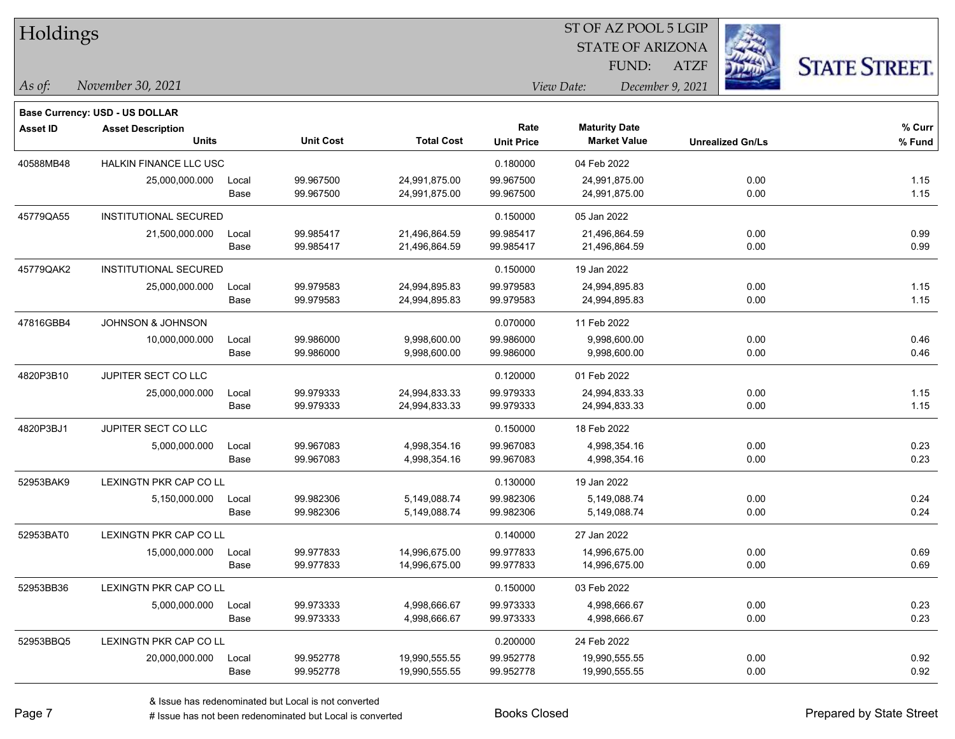| Holdings        |                                          |               |                        |                                |                           | ST OF AZ POOL 5 LGIP                        |                  |                         |                      |
|-----------------|------------------------------------------|---------------|------------------------|--------------------------------|---------------------------|---------------------------------------------|------------------|-------------------------|----------------------|
|                 |                                          |               |                        |                                |                           | <b>STATE OF ARIZONA</b>                     |                  |                         |                      |
|                 |                                          |               |                        |                                |                           | FUND:                                       | <b>ATZF</b>      |                         | <b>STATE STREET.</b> |
| As of:          | November 30, 2021                        |               |                        |                                |                           | View Date:                                  | December 9, 2021 |                         |                      |
|                 |                                          |               |                        |                                |                           |                                             |                  |                         |                      |
|                 | <b>Base Currency: USD - US DOLLAR</b>    |               |                        |                                |                           |                                             |                  |                         |                      |
| <b>Asset ID</b> | <b>Asset Description</b><br><b>Units</b> |               | <b>Unit Cost</b>       | <b>Total Cost</b>              | Rate<br><b>Unit Price</b> | <b>Maturity Date</b><br><b>Market Value</b> |                  | <b>Unrealized Gn/Ls</b> | % Curr<br>% Fund     |
|                 |                                          |               |                        |                                |                           |                                             |                  |                         |                      |
| 40588MB48       | <b>HALKIN FINANCE LLC USC</b>            |               |                        |                                | 0.180000                  | 04 Feb 2022                                 |                  |                         |                      |
|                 | 25,000,000.000                           | Local<br>Base | 99.967500<br>99.967500 | 24,991,875.00<br>24,991,875.00 | 99.967500<br>99.967500    | 24,991,875.00<br>24,991,875.00              |                  | 0.00<br>0.00            | 1.15<br>1.15         |
|                 |                                          |               |                        |                                |                           |                                             |                  |                         |                      |
| 45779QA55       | <b>INSTITUTIONAL SECURED</b>             |               |                        |                                | 0.150000                  | 05 Jan 2022                                 |                  |                         |                      |
|                 | 21,500,000.000                           | Local<br>Base | 99.985417<br>99.985417 | 21,496,864.59<br>21,496,864.59 | 99.985417<br>99.985417    | 21,496,864.59<br>21,496,864.59              |                  | 0.00<br>0.00            | 0.99<br>0.99         |
|                 |                                          |               |                        |                                |                           |                                             |                  |                         |                      |
| 45779QAK2       | <b>INSTITUTIONAL SECURED</b>             |               |                        |                                | 0.150000                  | 19 Jan 2022                                 |                  |                         |                      |
|                 | 25,000,000.000                           | Local         | 99.979583              | 24,994,895.83                  | 99.979583                 | 24,994,895.83                               |                  | 0.00                    | 1.15                 |
|                 |                                          | Base          | 99.979583              | 24,994,895.83                  | 99.979583                 | 24,994,895.83                               |                  | 0.00                    | 1.15                 |
| 47816GBB4       | <b>JOHNSON &amp; JOHNSON</b>             |               |                        |                                | 0.070000                  | 11 Feb 2022                                 |                  |                         |                      |
|                 | 10,000,000.000                           | Local         | 99.986000              | 9,998,600.00                   | 99.986000                 | 9,998,600.00                                |                  | 0.00                    | 0.46                 |
|                 |                                          | Base          | 99.986000              | 9,998,600.00                   | 99.986000                 | 9,998,600.00                                |                  | 0.00                    | 0.46                 |
| 4820P3B10       | JUPITER SECT CO LLC                      |               |                        |                                | 0.120000                  | 01 Feb 2022                                 |                  |                         |                      |
|                 | 25,000,000.000                           | Local         | 99.979333              | 24,994,833.33                  | 99.979333                 | 24,994,833.33                               |                  | 0.00                    | 1.15                 |
|                 |                                          | Base          | 99.979333              | 24,994,833.33                  | 99.979333                 | 24,994,833.33                               |                  | 0.00                    | 1.15                 |
| 4820P3BJ1       | JUPITER SECT CO LLC                      |               |                        |                                | 0.150000                  | 18 Feb 2022                                 |                  |                         |                      |
|                 | 5,000,000.000                            | Local         | 99.967083              | 4,998,354.16                   | 99.967083                 | 4,998,354.16                                |                  | 0.00                    | 0.23                 |
|                 |                                          | Base          | 99.967083              | 4,998,354.16                   | 99.967083                 | 4,998,354.16                                |                  | 0.00                    | 0.23                 |
| 52953BAK9       | LEXINGTN PKR CAP CO LL                   |               |                        |                                | 0.130000                  | 19 Jan 2022                                 |                  |                         |                      |
|                 | 5,150,000.000                            | Local         | 99.982306              | 5,149,088.74                   | 99.982306                 | 5,149,088.74                                |                  | 0.00                    | 0.24                 |
|                 |                                          | Base          | 99.982306              | 5,149,088.74                   | 99.982306                 | 5,149,088.74                                |                  | 0.00                    | 0.24                 |
| 52953BAT0       | LEXINGTN PKR CAP CO LL                   |               |                        |                                | 0.140000                  | 27 Jan 2022                                 |                  |                         |                      |
|                 | 15,000,000.000                           | Local         | 99.977833              | 14,996,675.00                  | 99.977833                 | 14,996,675.00                               |                  | 0.00                    | 0.69                 |
|                 |                                          | Base          | 99.977833              | 14,996,675.00                  | 99.977833                 | 14,996,675.00                               |                  | 0.00                    | 0.69                 |
| 52953BB36       | LEXINGTN PKR CAP CO LL                   |               |                        |                                | 0.150000                  | 03 Feb 2022                                 |                  |                         |                      |
|                 | 5,000,000.000                            | Local         | 99.973333              | 4,998,666.67                   | 99.973333                 | 4,998,666.67                                |                  | 0.00                    | 0.23                 |
|                 |                                          | Base          | 99.973333              | 4,998,666.67                   | 99.973333                 | 4,998,666.67                                |                  | 0.00                    | 0.23                 |
| 52953BBQ5       | LEXINGTN PKR CAP CO LL                   |               |                        |                                | 0.200000                  | 24 Feb 2022                                 |                  |                         |                      |
|                 | 20,000,000.000                           | Local         | 99.952778              | 19,990,555.55                  | 99.952778                 | 19,990,555.55                               |                  | 0.00                    | 0.92                 |
|                 |                                          | Base          | 99.952778              | 19,990,555.55                  | 99.952778                 | 19,990,555.55                               |                  | 0.00                    | 0.92                 |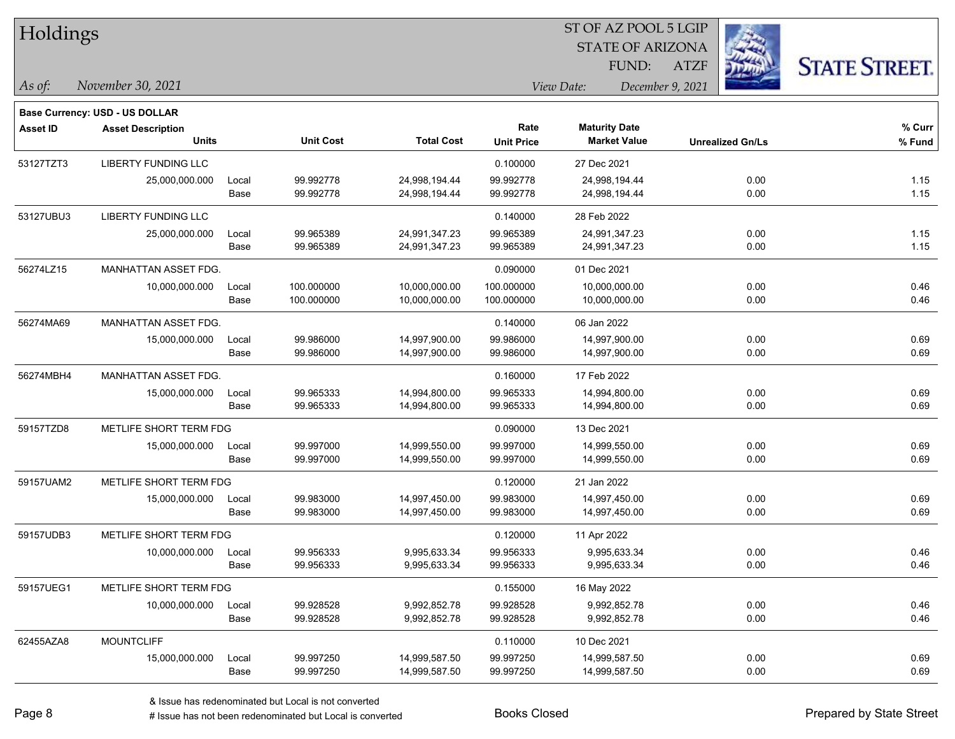| Holdings        |                                          |       |                  | ST OF AZ POOL 5 LGIP |                   |                                             |                         |      |                      |  |
|-----------------|------------------------------------------|-------|------------------|----------------------|-------------------|---------------------------------------------|-------------------------|------|----------------------|--|
|                 |                                          |       |                  |                      |                   | <b>STATE OF ARIZONA</b>                     |                         |      |                      |  |
|                 |                                          |       |                  |                      |                   | FUND:                                       | <b>ATZF</b>             |      | <b>STATE STREET.</b> |  |
| $\vert$ As of:  | November 30, 2021                        |       |                  |                      |                   | View Date:                                  | December 9, 2021        |      |                      |  |
|                 |                                          |       |                  |                      |                   |                                             |                         |      |                      |  |
|                 | <b>Base Currency: USD - US DOLLAR</b>    |       |                  |                      | Rate              |                                             |                         |      | % Curr               |  |
| <b>Asset ID</b> | <b>Asset Description</b><br><b>Units</b> |       | <b>Unit Cost</b> | <b>Total Cost</b>    | <b>Unit Price</b> | <b>Maturity Date</b><br><b>Market Value</b> | <b>Unrealized Gn/Ls</b> |      | % Fund               |  |
| 53127TZT3       | LIBERTY FUNDING LLC                      |       |                  |                      | 0.100000          | 27 Dec 2021                                 |                         |      |                      |  |
|                 | 25,000,000.000                           | Local | 99.992778        | 24,998,194.44        | 99.992778         | 24,998,194.44                               |                         | 0.00 | 1.15                 |  |
|                 |                                          | Base  | 99.992778        | 24,998,194.44        | 99.992778         | 24,998,194.44                               |                         | 0.00 | 1.15                 |  |
| 53127UBU3       | LIBERTY FUNDING LLC                      |       |                  |                      | 0.140000          | 28 Feb 2022                                 |                         |      |                      |  |
|                 | 25,000,000.000                           | Local | 99.965389        | 24,991,347.23        | 99.965389         | 24,991,347.23                               |                         | 0.00 | 1.15                 |  |
|                 |                                          | Base  | 99.965389        | 24,991,347.23        | 99.965389         | 24,991,347.23                               |                         | 0.00 | 1.15                 |  |
| 56274LZ15       | MANHATTAN ASSET FDG.                     |       |                  |                      | 0.090000          | 01 Dec 2021                                 |                         |      |                      |  |
|                 | 10,000,000.000                           | Local | 100.000000       | 10,000,000.00        | 100.000000        | 10,000,000.00                               |                         | 0.00 | 0.46                 |  |
|                 |                                          | Base  | 100.000000       | 10,000,000.00        | 100.000000        | 10,000,000.00                               |                         | 0.00 | 0.46                 |  |
| 56274MA69       | MANHATTAN ASSET FDG.                     |       |                  |                      | 0.140000          | 06 Jan 2022                                 |                         |      |                      |  |
|                 | 15,000,000.000                           | Local | 99.986000        | 14,997,900.00        | 99.986000         | 14,997,900.00                               |                         | 0.00 | 0.69                 |  |
|                 |                                          | Base  | 99.986000        | 14,997,900.00        | 99.986000         | 14,997,900.00                               |                         | 0.00 | 0.69                 |  |
| 56274MBH4       | MANHATTAN ASSET FDG.                     |       |                  |                      | 0.160000          | 17 Feb 2022                                 |                         |      |                      |  |
|                 | 15,000,000.000                           | Local | 99.965333        | 14,994,800.00        | 99.965333         | 14,994,800.00                               |                         | 0.00 | 0.69                 |  |
|                 |                                          | Base  | 99.965333        | 14,994,800.00        | 99.965333         | 14,994,800.00                               |                         | 0.00 | 0.69                 |  |
| 59157TZD8       | METLIFE SHORT TERM FDG                   |       |                  |                      | 0.090000          | 13 Dec 2021                                 |                         |      |                      |  |
|                 | 15,000,000.000                           | Local | 99.997000        | 14,999,550.00        | 99.997000         | 14,999,550.00                               |                         | 0.00 | 0.69                 |  |
|                 |                                          | Base  | 99.997000        | 14,999,550.00        | 99.997000         | 14,999,550.00                               |                         | 0.00 | 0.69                 |  |
| 59157UAM2       | METLIFE SHORT TERM FDG                   |       |                  |                      | 0.120000          | 21 Jan 2022                                 |                         |      |                      |  |
|                 | 15,000,000.000                           | Local | 99.983000        | 14,997,450.00        | 99.983000         | 14,997,450.00                               |                         | 0.00 | 0.69                 |  |
|                 |                                          | Base  | 99.983000        | 14,997,450.00        | 99.983000         | 14,997,450.00                               |                         | 0.00 | 0.69                 |  |
| 59157UDB3       | METLIFE SHORT TERM FDG                   |       |                  |                      | 0.120000          | 11 Apr 2022                                 |                         |      |                      |  |
|                 | 10,000,000.000                           | Local | 99.956333        | 9,995,633.34         | 99.956333         | 9,995,633.34                                |                         | 0.00 | 0.46                 |  |
|                 |                                          | Base  | 99.956333        | 9,995,633.34         | 99.956333         | 9,995,633.34                                |                         | 0.00 | 0.46                 |  |
| 59157UEG1       | METLIFE SHORT TERM FDG                   |       |                  |                      | 0.155000          | 16 May 2022                                 |                         |      |                      |  |
|                 | 10,000,000.000                           | Local | 99.928528        | 9,992,852.78         | 99.928528         | 9,992,852.78                                |                         | 0.00 | 0.46                 |  |
|                 |                                          | Base  | 99.928528        | 9,992,852.78         | 99.928528         | 9,992,852.78                                |                         | 0.00 | 0.46                 |  |
| 62455AZA8       | <b>MOUNTCLIFF</b>                        |       |                  |                      | 0.110000          | 10 Dec 2021                                 |                         |      |                      |  |
|                 | 15,000,000.000                           | Local | 99.997250        | 14,999,587.50        | 99.997250         | 14,999,587.50                               |                         | 0.00 | 0.69                 |  |
|                 |                                          | Base  | 99.997250        | 14,999,587.50        | 99.997250         | 14,999,587.50                               |                         | 0.00 | 0.69                 |  |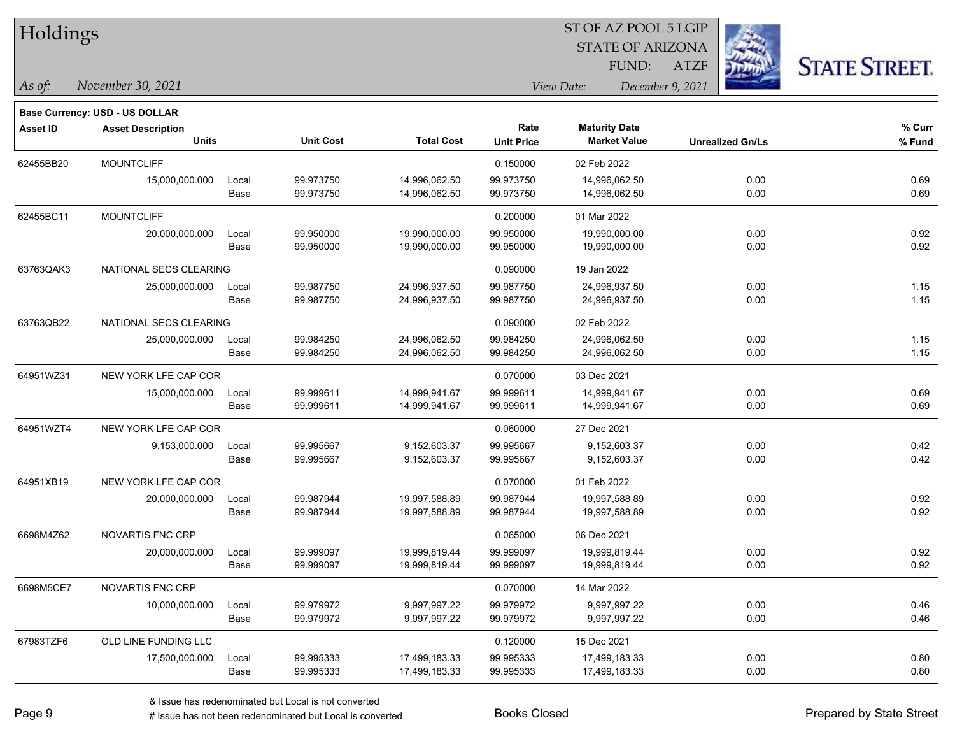| Holdings        |                                          |               |                        |                                |                           | ST OF AZ POOL 5 LGIP                        |                  |                         |                      |  |  |
|-----------------|------------------------------------------|---------------|------------------------|--------------------------------|---------------------------|---------------------------------------------|------------------|-------------------------|----------------------|--|--|
|                 |                                          |               |                        |                                |                           | <b>STATE OF ARIZONA</b>                     |                  |                         |                      |  |  |
|                 |                                          |               |                        |                                |                           | FUND:                                       | <b>ATZF</b>      |                         | <b>STATE STREET.</b> |  |  |
| As of:          | November 30, 2021                        |               |                        |                                |                           | View Date:                                  | December 9, 2021 |                         |                      |  |  |
|                 | <b>Base Currency: USD - US DOLLAR</b>    |               |                        |                                |                           |                                             |                  |                         |                      |  |  |
| <b>Asset ID</b> | <b>Asset Description</b><br><b>Units</b> |               | <b>Unit Cost</b>       | <b>Total Cost</b>              | Rate<br><b>Unit Price</b> | <b>Maturity Date</b><br><b>Market Value</b> |                  | <b>Unrealized Gn/Ls</b> | % Curr<br>% Fund     |  |  |
| 62455BB20       | <b>MOUNTCLIFF</b>                        |               |                        |                                | 0.150000                  | 02 Feb 2022                                 |                  |                         |                      |  |  |
|                 | 15,000,000.000                           | Local<br>Base | 99.973750<br>99.973750 | 14,996,062.50<br>14,996,062.50 | 99.973750<br>99.973750    | 14,996,062.50<br>14,996,062.50              |                  | 0.00<br>0.00            | 0.69<br>0.69         |  |  |
| 62455BC11       | <b>MOUNTCLIFF</b>                        |               |                        |                                | 0.200000                  | 01 Mar 2022                                 |                  |                         |                      |  |  |
|                 | 20,000,000.000                           | Local<br>Base | 99.950000<br>99.950000 | 19,990,000.00<br>19,990,000.00 | 99.950000<br>99.950000    | 19,990,000.00<br>19,990,000.00              |                  | 0.00<br>0.00            | 0.92<br>0.92         |  |  |
| 63763QAK3       | NATIONAL SECS CLEARING                   |               |                        |                                | 0.090000                  | 19 Jan 2022                                 |                  |                         |                      |  |  |
|                 | 25,000,000.000                           | Local<br>Base | 99.987750<br>99.987750 | 24,996,937.50<br>24,996,937.50 | 99.987750<br>99.987750    | 24,996,937.50<br>24,996,937.50              |                  | 0.00<br>0.00            | 1.15<br>1.15         |  |  |
| 63763QB22       | NATIONAL SECS CLEARING                   |               |                        |                                | 0.090000                  | 02 Feb 2022                                 |                  |                         |                      |  |  |
|                 | 25,000,000.000                           | Local<br>Base | 99.984250<br>99.984250 | 24,996,062.50<br>24,996,062.50 | 99.984250<br>99.984250    | 24,996,062.50<br>24,996,062.50              |                  | 0.00<br>0.00            | 1.15<br>1.15         |  |  |
| 64951WZ31       | NEW YORK LFE CAP COR                     |               |                        |                                | 0.070000                  | 03 Dec 2021                                 |                  |                         |                      |  |  |
|                 | 15,000,000.000                           | Local<br>Base | 99.999611<br>99.999611 | 14,999,941.67<br>14,999,941.67 | 99.999611<br>99.999611    | 14,999,941.67<br>14,999,941.67              |                  | 0.00<br>0.00            | 0.69<br>0.69         |  |  |
| 64951WZT4       | NEW YORK LFE CAP COR                     |               |                        |                                | 0.060000                  | 27 Dec 2021                                 |                  |                         |                      |  |  |
|                 | 9,153,000.000                            | Local<br>Base | 99.995667<br>99.995667 | 9,152,603.37<br>9,152,603.37   | 99.995667<br>99.995667    | 9,152,603.37<br>9,152,603.37                |                  | 0.00<br>0.00            | 0.42<br>0.42         |  |  |
| 64951XB19       | NEW YORK LFE CAP COR                     |               |                        |                                | 0.070000                  | 01 Feb 2022                                 |                  |                         |                      |  |  |
|                 | 20,000,000.000                           | Local<br>Base | 99.987944<br>99.987944 | 19,997,588.89<br>19,997,588.89 | 99.987944<br>99.987944    | 19,997,588.89<br>19,997,588.89              |                  | 0.00<br>0.00            | 0.92<br>0.92         |  |  |
| 6698M4Z62       | NOVARTIS FNC CRP                         |               |                        |                                | 0.065000                  | 06 Dec 2021                                 |                  |                         |                      |  |  |
|                 | 20,000,000.000                           | Local<br>Base | 99.999097<br>99.999097 | 19,999,819.44<br>19,999,819.44 | 99.999097<br>99.999097    | 19,999,819.44<br>19,999,819.44              |                  | 0.00<br>0.00            | 0.92<br>0.92         |  |  |
| 6698M5CE7       | NOVARTIS FNC CRP                         |               |                        |                                | 0.070000                  | 14 Mar 2022                                 |                  |                         |                      |  |  |
|                 | 10,000,000.000                           | Local<br>Base | 99.979972<br>99.979972 | 9,997,997.22<br>9,997,997.22   | 99.979972<br>99.979972    | 9,997,997.22<br>9,997,997.22                |                  | 0.00<br>0.00            | 0.46<br>0.46         |  |  |
| 67983TZF6       | OLD LINE FUNDING LLC                     |               |                        |                                | 0.120000                  | 15 Dec 2021                                 |                  |                         |                      |  |  |

17,500,000.000 Local 99.995333 17,499,183.33 99.995333 17,499,183.33 0.00 0

Base 99.995333 17,499,183.33 99.995333 17,499,183.33 0.00 0.80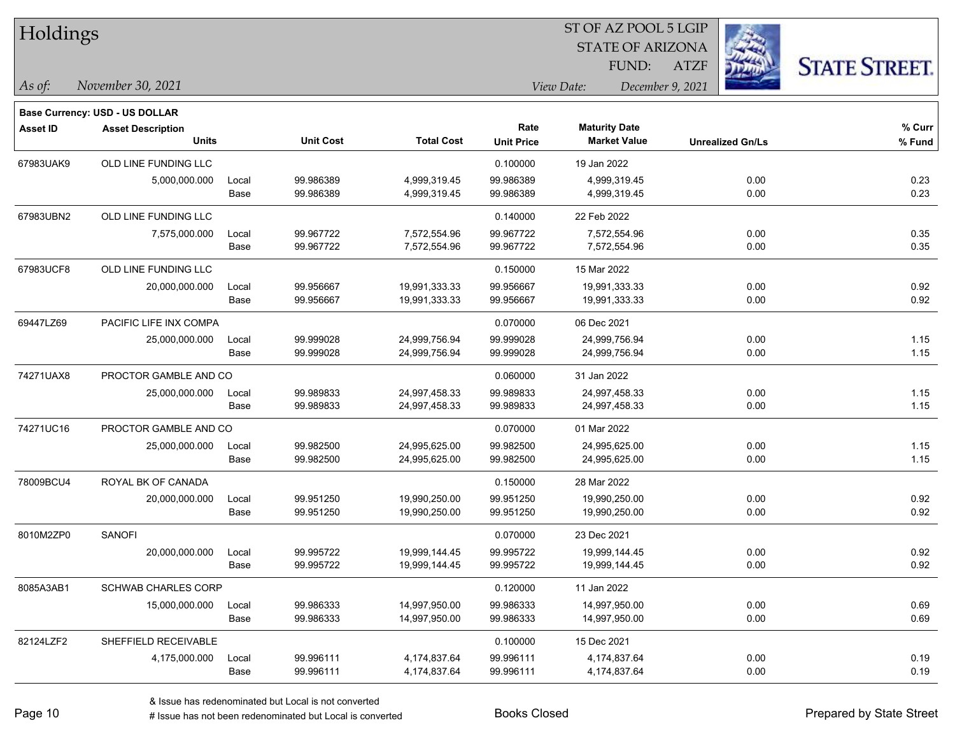| Holdings        |                                                                   |       |                  |                   |                   | ST OF AZ POOL 5 LGIP    |                         |      |                      |
|-----------------|-------------------------------------------------------------------|-------|------------------|-------------------|-------------------|-------------------------|-------------------------|------|----------------------|
|                 |                                                                   |       |                  |                   |                   | <b>STATE OF ARIZONA</b> |                         |      |                      |
|                 |                                                                   |       |                  |                   |                   | FUND:                   | <b>ATZF</b>             |      | <b>STATE STREET.</b> |
| $\vert$ As of:  | November 30, 2021                                                 |       |                  | December 9, 2021  |                   |                         |                         |      |                      |
|                 |                                                                   |       |                  |                   |                   |                         |                         |      |                      |
| <b>Asset ID</b> | <b>Base Currency: USD - US DOLLAR</b><br><b>Asset Description</b> |       |                  |                   | Rate              | <b>Maturity Date</b>    |                         |      | % Curr               |
|                 | <b>Units</b>                                                      |       | <b>Unit Cost</b> | <b>Total Cost</b> | <b>Unit Price</b> | <b>Market Value</b>     | <b>Unrealized Gn/Ls</b> |      | % Fund               |
| 67983UAK9       | OLD LINE FUNDING LLC                                              |       |                  |                   | 0.100000          | 19 Jan 2022             |                         |      |                      |
|                 | 5,000,000.000                                                     | Local | 99.986389        | 4,999,319.45      | 99.986389         | 4,999,319.45            |                         | 0.00 | 0.23                 |
|                 |                                                                   | Base  | 99.986389        | 4,999,319.45      | 99.986389         | 4,999,319.45            |                         | 0.00 | 0.23                 |
| 67983UBN2       | OLD LINE FUNDING LLC                                              |       |                  |                   | 0.140000          | 22 Feb 2022             |                         |      |                      |
|                 | 7,575,000.000                                                     | Local | 99.967722        | 7,572,554.96      | 99.967722         | 7,572,554.96            |                         | 0.00 | 0.35                 |
|                 |                                                                   | Base  | 99.967722        | 7,572,554.96      | 99.967722         | 7,572,554.96            |                         | 0.00 | 0.35                 |
| 67983UCF8       | OLD LINE FUNDING LLC                                              |       |                  |                   | 0.150000          | 15 Mar 2022             |                         |      |                      |
|                 | 20,000,000.000                                                    | Local | 99.956667        | 19,991,333.33     | 99.956667         | 19,991,333.33           |                         | 0.00 | 0.92                 |
|                 |                                                                   | Base  | 99.956667        | 19,991,333.33     | 99.956667         | 19,991,333.33           |                         | 0.00 | 0.92                 |
| 69447LZ69       | PACIFIC LIFE INX COMPA                                            |       |                  |                   | 0.070000          | 06 Dec 2021             |                         |      |                      |
|                 | 25,000,000.000                                                    | Local | 99.999028        | 24,999,756.94     | 99.999028         | 24,999,756.94           |                         | 0.00 | 1.15                 |
|                 |                                                                   | Base  | 99.999028        | 24,999,756.94     | 99.999028         | 24,999,756.94           |                         | 0.00 | 1.15                 |
| 74271UAX8       | PROCTOR GAMBLE AND CO                                             |       |                  |                   | 0.060000          | 31 Jan 2022             |                         |      |                      |
|                 | 25,000,000.000                                                    | Local | 99.989833        | 24,997,458.33     | 99.989833         | 24,997,458.33           |                         | 0.00 | 1.15                 |
|                 |                                                                   | Base  | 99.989833        | 24,997,458.33     | 99.989833         | 24,997,458.33           |                         | 0.00 | 1.15                 |
| 74271UC16       | PROCTOR GAMBLE AND CO                                             |       |                  |                   | 0.070000          | 01 Mar 2022             |                         |      |                      |
|                 | 25,000,000.000                                                    | Local | 99.982500        | 24,995,625.00     | 99.982500         | 24,995,625.00           |                         | 0.00 | 1.15                 |
|                 |                                                                   | Base  | 99.982500        | 24,995,625.00     | 99.982500         | 24,995,625.00           |                         | 0.00 | 1.15                 |
| 78009BCU4       | ROYAL BK OF CANADA                                                |       |                  |                   | 0.150000          | 28 Mar 2022             |                         |      |                      |
|                 | 20,000,000.000                                                    | Local | 99.951250        | 19,990,250.00     | 99.951250         | 19,990,250.00           |                         | 0.00 | 0.92                 |
|                 |                                                                   | Base  | 99.951250        | 19,990,250.00     | 99.951250         | 19,990,250.00           |                         | 0.00 | 0.92                 |
| 8010M2ZP0       | SANOFI                                                            |       |                  |                   | 0.070000          | 23 Dec 2021             |                         |      |                      |
|                 | 20,000,000.000                                                    | Local | 99.995722        | 19,999,144.45     | 99.995722         | 19,999,144.45           |                         | 0.00 | 0.92                 |
|                 |                                                                   | Base  | 99.995722        | 19,999,144.45     | 99.995722         | 19,999,144.45           |                         | 0.00 | 0.92                 |
| 8085A3AB1       | <b>SCHWAB CHARLES CORP</b>                                        |       |                  |                   | 0.120000          | 11 Jan 2022             |                         |      |                      |
|                 | 15,000,000.000                                                    | Local | 99.986333        | 14,997,950.00     | 99.986333         | 14,997,950.00           |                         | 0.00 | 0.69                 |
|                 |                                                                   | Base  | 99.986333        | 14,997,950.00     | 99.986333         | 14,997,950.00           |                         | 0.00 | 0.69                 |
| 82124LZF2       | SHEFFIELD RECEIVABLE                                              |       |                  |                   | 0.100000          | 15 Dec 2021             |                         |      |                      |
|                 | 4,175,000.000 Local                                               |       | 99.996111        | 4,174,837.64      | 99.996111         | 4,174,837.64            |                         | 0.00 | 0.19                 |

Base 99.996111 4,174,837.64 99.996111 4,174,837.64 0.00 0.19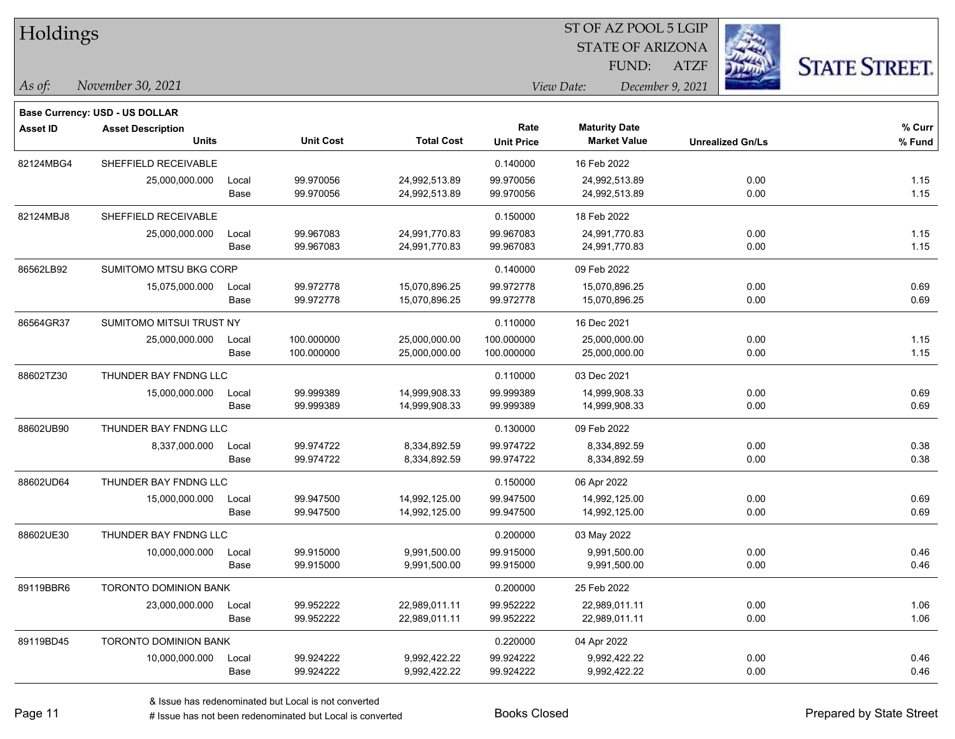| Holdings        |                                          |               |                        |                                |                           | ST OF AZ POOL 5 LGIP                        |                  |                         |                      |
|-----------------|------------------------------------------|---------------|------------------------|--------------------------------|---------------------------|---------------------------------------------|------------------|-------------------------|----------------------|
|                 |                                          |               |                        |                                |                           | <b>STATE OF ARIZONA</b>                     |                  |                         |                      |
|                 |                                          |               |                        |                                |                           | FUND:                                       | <b>ATZF</b>      |                         | <b>STATE STREET.</b> |
| $\vert$ As of:  | November 30, 2021                        |               |                        |                                |                           | View Date:                                  | December 9, 2021 |                         |                      |
|                 |                                          |               |                        |                                |                           |                                             |                  |                         |                      |
|                 | <b>Base Currency: USD - US DOLLAR</b>    |               |                        |                                |                           |                                             |                  |                         |                      |
| <b>Asset ID</b> | <b>Asset Description</b><br><b>Units</b> |               | <b>Unit Cost</b>       | <b>Total Cost</b>              | Rate<br><b>Unit Price</b> | <b>Maturity Date</b><br><b>Market Value</b> |                  | <b>Unrealized Gn/Ls</b> | % Curr<br>% Fund     |
|                 |                                          |               |                        |                                |                           |                                             |                  |                         |                      |
| 82124MBG4       | SHEFFIELD RECEIVABLE                     |               |                        |                                | 0.140000                  | 16 Feb 2022                                 |                  |                         |                      |
|                 | 25,000,000.000                           | Local<br>Base | 99.970056<br>99.970056 | 24,992,513.89<br>24,992,513.89 | 99.970056<br>99.970056    | 24,992,513.89<br>24,992,513.89              |                  | 0.00<br>0.00            | 1.15<br>1.15         |
|                 |                                          |               |                        |                                |                           |                                             |                  |                         |                      |
| 82124MBJ8       | SHEFFIELD RECEIVABLE                     |               |                        |                                | 0.150000                  | 18 Feb 2022                                 |                  |                         |                      |
|                 | 25,000,000.000                           | Local         | 99.967083              | 24,991,770.83                  | 99.967083                 | 24,991,770.83                               |                  | 0.00                    | 1.15                 |
|                 |                                          | Base          | 99.967083              | 24,991,770.83                  | 99.967083                 | 24,991,770.83                               |                  | 0.00                    | 1.15                 |
| 86562LB92       | SUMITOMO MTSU BKG CORP                   |               |                        |                                | 0.140000                  | 09 Feb 2022                                 |                  |                         |                      |
|                 | 15,075,000.000                           | Local         | 99.972778              | 15,070,896.25                  | 99.972778                 | 15,070,896.25                               |                  | 0.00                    | 0.69                 |
|                 |                                          | Base          | 99.972778              | 15,070,896.25                  | 99.972778                 | 15,070,896.25                               |                  | 0.00                    | 0.69                 |
| 86564GR37       | SUMITOMO MITSUI TRUST NY                 |               |                        |                                | 0.110000                  | 16 Dec 2021                                 |                  |                         |                      |
|                 | 25,000,000.000                           | Local         | 100.000000             | 25,000,000.00                  | 100.000000                | 25,000,000.00                               |                  | 0.00                    | 1.15                 |
|                 |                                          | Base          | 100.000000             | 25,000,000.00                  | 100.000000                | 25,000,000.00                               |                  | 0.00                    | 1.15                 |
| 88602TZ30       | THUNDER BAY FNDNG LLC                    |               |                        |                                | 0.110000                  | 03 Dec 2021                                 |                  |                         |                      |
|                 | 15,000,000.000                           | Local         | 99.999389              | 14,999,908.33                  | 99.999389                 | 14,999,908.33                               |                  | 0.00                    | 0.69                 |
|                 |                                          | Base          | 99.999389              | 14,999,908.33                  | 99.999389                 | 14,999,908.33                               |                  | 0.00                    | 0.69                 |
| 88602UB90       | THUNDER BAY FNDNG LLC                    |               |                        |                                | 0.130000                  | 09 Feb 2022                                 |                  |                         |                      |
|                 | 8,337,000.000                            | Local         | 99.974722              | 8,334,892.59                   | 99.974722                 | 8,334,892.59                                |                  | 0.00                    | 0.38                 |
|                 |                                          | Base          | 99.974722              | 8,334,892.59                   | 99.974722                 | 8,334,892.59                                |                  | 0.00                    | 0.38                 |
| 88602UD64       | THUNDER BAY FNDNG LLC                    |               |                        |                                | 0.150000                  | 06 Apr 2022                                 |                  |                         |                      |
|                 | 15,000,000.000                           | Local         | 99.947500              | 14,992,125.00                  | 99.947500                 | 14,992,125.00                               |                  | 0.00                    | 0.69                 |
|                 |                                          | Base          | 99.947500              | 14,992,125.00                  | 99.947500                 | 14,992,125.00                               |                  | 0.00                    | 0.69                 |
| 88602UE30       | THUNDER BAY FNDNG LLC                    |               |                        |                                | 0.200000                  | 03 May 2022                                 |                  |                         |                      |
|                 | 10,000,000.000                           | Local         | 99.915000              | 9,991,500.00                   | 99.915000                 | 9,991,500.00                                |                  | 0.00                    | 0.46                 |
|                 |                                          | Base          | 99.915000              | 9,991,500.00                   | 99.915000                 | 9,991,500.00                                |                  | 0.00                    | 0.46                 |
| 89119BBR6       | <b>TORONTO DOMINION BANK</b>             |               |                        |                                | 0.200000                  | 25 Feb 2022                                 |                  |                         |                      |
|                 | 23,000,000.000                           | Local         | 99.952222              | 22,989,011.11                  | 99.952222                 | 22,989,011.11                               |                  | 0.00                    | 1.06                 |
|                 |                                          | Base          | 99.952222              | 22,989,011.11                  | 99.952222                 | 22,989,011.11                               |                  | 0.00                    | 1.06                 |
| 89119BD45       | TORONTO DOMINION BANK                    |               |                        |                                | 0.220000                  | 04 Apr 2022                                 |                  |                         |                      |
|                 | 10,000,000.000                           | Local         | 99.924222              | 9,992,422.22                   | 99.924222                 | 9,992,422.22                                |                  | 0.00                    | 0.46                 |
|                 |                                          | Base          | 99.924222              | 9,992,422.22                   | 99.924222                 | 9,992,422.22                                |                  | 0.00                    | 0.46                 |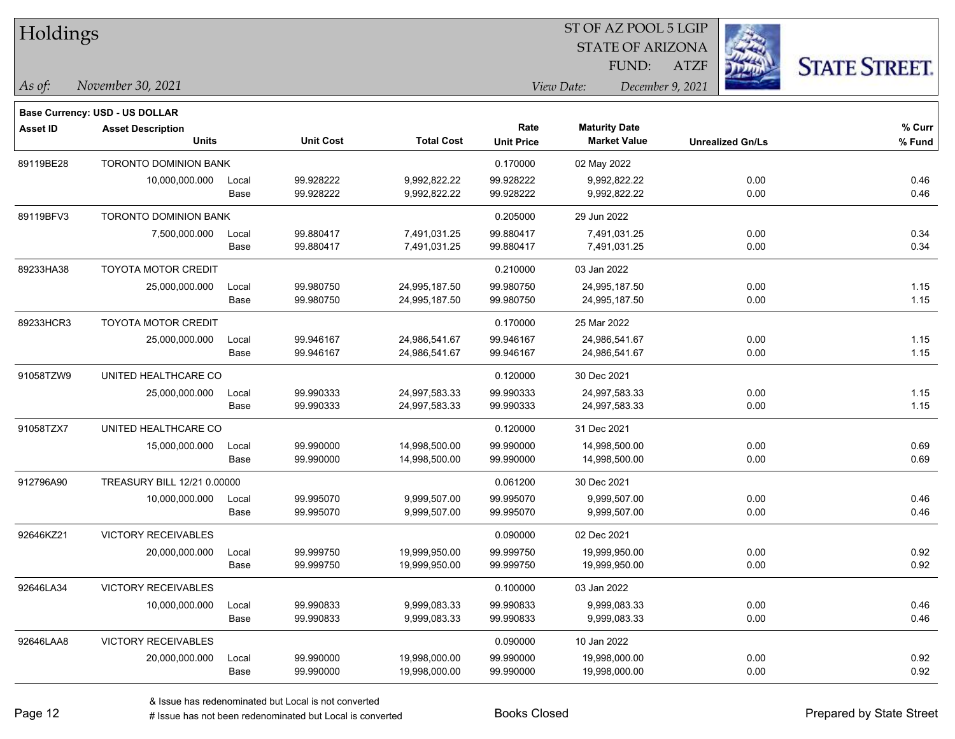| Holdings        |                                          |               |                        |                                |                           | 51 OF AZ POOL 5 LGIP<br><b>STATE OF ARIZONA</b><br>FUND: | <b>ATZF</b>             | <b>STATE STREET.</b> |
|-----------------|------------------------------------------|---------------|------------------------|--------------------------------|---------------------------|----------------------------------------------------------|-------------------------|----------------------|
| As of:          | November 30, 2021                        |               |                        |                                |                           | View Date:                                               | December 9, 2021        |                      |
|                 | <b>Base Currency: USD - US DOLLAR</b>    |               |                        |                                |                           |                                                          |                         |                      |
| <b>Asset ID</b> | <b>Asset Description</b><br><b>Units</b> |               | <b>Unit Cost</b>       | <b>Total Cost</b>              | Rate<br><b>Unit Price</b> | <b>Maturity Date</b><br><b>Market Value</b>              | <b>Unrealized Gn/Ls</b> | % Curr<br>% Fund     |
| 89119BE28       | <b>TORONTO DOMINION BANK</b>             |               |                        |                                | 0.170000                  | 02 May 2022                                              |                         |                      |
|                 | 10,000,000.000                           | Local<br>Base | 99.928222<br>99.928222 | 9,992,822.22<br>9,992,822.22   | 99.928222<br>99.928222    | 9,992,822.22<br>9,992,822.22                             | 0.00<br>0.00            | 0.46<br>0.46         |
| 89119BFV3       | <b>TORONTO DOMINION BANK</b>             |               |                        |                                | 0.205000                  | 29 Jun 2022                                              |                         |                      |
|                 | 7,500,000.000                            | Local<br>Base | 99.880417<br>99.880417 | 7,491,031.25<br>7,491,031.25   | 99.880417<br>99.880417    | 7,491,031.25<br>7,491,031.25                             | 0.00<br>0.00            | 0.34<br>0.34         |
| 89233HA38       | <b>TOYOTA MOTOR CREDIT</b>               |               |                        |                                | 0.210000                  | 03 Jan 2022                                              |                         |                      |
|                 | 25,000,000.000                           | Local<br>Base | 99.980750<br>99.980750 | 24,995,187.50<br>24,995,187.50 | 99.980750<br>99.980750    | 24,995,187.50<br>24,995,187.50                           | 0.00<br>0.00            | 1.15<br>1.15         |
| 89233HCR3       | <b>TOYOTA MOTOR CREDIT</b>               |               |                        |                                | 0.170000                  | 25 Mar 2022                                              |                         |                      |
|                 | 25,000,000.000                           | Local<br>Base | 99.946167<br>99.946167 | 24,986,541.67<br>24,986,541.67 | 99.946167<br>99.946167    | 24,986,541.67<br>24,986,541.67                           | 0.00<br>0.00            | 1.15<br>1.15         |
| 91058TZW9       | UNITED HEALTHCARE CO                     |               |                        |                                | 0.120000                  | 30 Dec 2021                                              |                         |                      |
|                 | 25,000,000.000                           | Local<br>Base | 99.990333<br>99.990333 | 24,997,583.33<br>24,997,583.33 | 99.990333<br>99.990333    | 24,997,583.33<br>24,997,583.33                           | 0.00<br>0.00            | 1.15<br>1.15         |
| 91058TZX7       | UNITED HEALTHCARE CO                     |               |                        |                                | 0.120000                  | 31 Dec 2021                                              |                         |                      |
|                 | 15,000,000.000                           | Local<br>Base | 99.990000<br>99.990000 | 14,998,500.00<br>14,998,500.00 | 99.990000<br>99.990000    | 14,998,500.00<br>14,998,500.00                           | 0.00<br>0.00            | 0.69<br>0.69         |
| 912796A90       | TREASURY BILL 12/21 0.00000              |               |                        |                                | 0.061200                  | 30 Dec 2021                                              |                         |                      |
|                 | 10,000,000.000                           | Local<br>Base | 99.995070<br>99.995070 | 9,999,507.00<br>9,999,507.00   | 99.995070<br>99.995070    | 9,999,507.00<br>9,999,507.00                             | 0.00<br>0.00            | 0.46<br>0.46         |
| 92646KZ21       | <b>VICTORY RECEIVABLES</b>               |               |                        |                                | 0.090000                  | 02 Dec 2021                                              |                         |                      |
|                 | 20,000,000.000                           | Local<br>Base | 99.999750<br>99.999750 | 19,999,950.00<br>19,999,950.00 | 99.999750<br>99.999750    | 19,999,950.00<br>19,999,950.00                           | 0.00<br>0.00            | 0.92<br>0.92         |
| 92646LA34       | VICTORY RECEIVABLES                      |               |                        |                                | 0.100000                  | 03 Jan 2022                                              |                         |                      |
|                 | 10,000,000.000                           | Local<br>Base | 99.990833<br>99.990833 | 9,999,083.33<br>9,999,083.33   | 99.990833<br>99.990833    | 9,999,083.33<br>9,999,083.33                             | 0.00<br>0.00            | 0.46<br>0.46         |
| 92646LAA8       | VICTORY RECEIVABLES                      |               |                        |                                | 0.090000                  | 10 Jan 2022                                              |                         |                      |
|                 | 20,000,000.000                           | Local<br>Base | 99.990000<br>99.990000 | 19,998,000.00<br>19,998,000.00 | 99.990000<br>99.990000    | 19,998,000.00<br>19,998,000.00                           | 0.00<br>0.00            | 0.92<br>0.92         |

 $ST$  OF AZ POOL 5 LGIP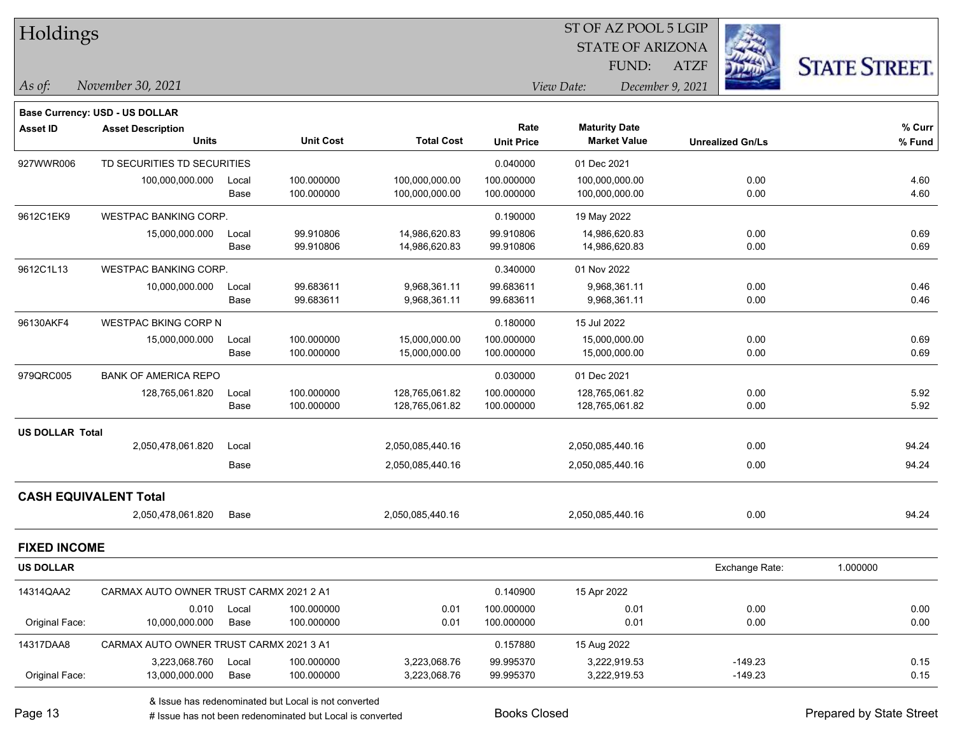| Holdings            |                                         |       |                  |                   |                   | ST OF AZ POOL 5 LGIP    |                         |                     |
|---------------------|-----------------------------------------|-------|------------------|-------------------|-------------------|-------------------------|-------------------------|---------------------|
|                     |                                         |       |                  |                   |                   | <b>STATE OF ARIZONA</b> |                         |                     |
|                     |                                         |       |                  |                   |                   | FUND:                   | <b>ATZF</b>             | <b>STATE STREET</b> |
| As of:              | November 30, 2021                       |       |                  |                   |                   | View Date:              | December 9, 2021        |                     |
|                     | <b>Base Currency: USD - US DOLLAR</b>   |       |                  |                   |                   |                         |                         |                     |
| <b>Asset ID</b>     | <b>Asset Description</b>                |       |                  |                   | Rate              | <b>Maturity Date</b>    |                         | % Curr              |
|                     | <b>Units</b>                            |       | <b>Unit Cost</b> | <b>Total Cost</b> | <b>Unit Price</b> | <b>Market Value</b>     | <b>Unrealized Gn/Ls</b> | % Fund              |
| 927WWR006           | TD SECURITIES TD SECURITIES             |       |                  |                   | 0.040000          | 01 Dec 2021             |                         |                     |
|                     | 100,000,000.000                         | Local | 100.000000       | 100,000,000.00    | 100.000000        | 100,000,000.00          | 0.00                    | 4.60                |
|                     |                                         | Base  | 100.000000       | 100,000,000.00    | 100.000000        | 100,000,000.00          | 0.00                    | 4.60                |
| 9612C1EK9           | <b>WESTPAC BANKING CORP.</b>            |       |                  |                   | 0.190000          | 19 May 2022             |                         |                     |
|                     | 15,000,000.000                          | Local | 99.910806        | 14,986,620.83     | 99.910806         | 14,986,620.83           | 0.00                    | 0.69                |
|                     |                                         | Base  | 99.910806        | 14,986,620.83     | 99.910806         | 14,986,620.83           | 0.00                    | 0.69                |
| 9612C1L13           | <b>WESTPAC BANKING CORP.</b>            |       |                  |                   | 0.340000          | 01 Nov 2022             |                         |                     |
|                     | 10,000,000.000                          | Local | 99.683611        | 9,968,361.11      | 99.683611         | 9,968,361.11            | 0.00                    | 0.46                |
|                     |                                         | Base  | 99.683611        | 9,968,361.11      | 99.683611         | 9,968,361.11            | 0.00                    | 0.46                |
| 96130AKF4           | WESTPAC BKING CORP N                    |       |                  |                   | 0.180000          | 15 Jul 2022             |                         |                     |
|                     | 15,000,000.000                          | Local | 100.000000       | 15,000,000.00     | 100.000000        | 15,000,000.00           | 0.00                    | 0.69                |
|                     |                                         | Base  | 100.000000       | 15,000,000.00     | 100.000000        | 15,000,000.00           | 0.00                    | 0.69                |
| 979QRC005           | <b>BANK OF AMERICA REPO</b>             |       |                  |                   | 0.030000          | 01 Dec 2021             |                         |                     |
|                     | 128,765,061.820                         | Local | 100.000000       | 128,765,061.82    | 100.000000        | 128,765,061.82          | 0.00                    | 5.92                |
|                     |                                         | Base  | 100.000000       | 128,765,061.82    | 100.000000        | 128,765,061.82          | 0.00                    | 5.92                |
| US DOLLAR Total     |                                         |       |                  |                   |                   |                         |                         |                     |
|                     | 2,050,478,061.820                       | Local |                  | 2,050,085,440.16  |                   | 2,050,085,440.16        | 0.00                    | 94.24               |
|                     |                                         | Base  |                  | 2,050,085,440.16  |                   | 2,050,085,440.16        | 0.00                    | 94.24               |
|                     | <b>CASH EQUIVALENT Total</b>            |       |                  |                   |                   |                         |                         |                     |
|                     | 2,050,478,061.820                       | Base  |                  | 2,050,085,440.16  |                   | 2,050,085,440.16        | 0.00                    | 94.24               |
| <b>FIXED INCOME</b> |                                         |       |                  |                   |                   |                         |                         |                     |
| <b>US DOLLAR</b>    |                                         |       |                  |                   |                   |                         | Exchange Rate:          | 1.000000            |
| 14314QAA2           | CARMAX AUTO OWNER TRUST CARMX 2021 2 A1 |       |                  |                   | 0.140900          | 15 Apr 2022             |                         |                     |
|                     | 0.010                                   | Local | 100.000000       | 0.01              | 100.000000        | 0.01                    | 0.00                    | 0.00                |
| Original Face:      | 10,000,000.000                          | Base  | 100.000000       | 0.01              | 100.000000        | 0.01                    | 0.00                    | 0.00                |
| 14317DAA8           | CARMAX AUTO OWNER TRUST CARMX 2021 3 A1 |       |                  |                   | 0.157880          | 15 Aug 2022             |                         |                     |
|                     | 3,223,068.760                           | Local | 100.000000       | 3,223,068.76      | 99.995370         | 3,222,919.53            | $-149.23$               | 0.15                |
| Original Face:      | 13,000,000.000                          | Base  | 100.000000       | 3,223,068.76      | 99.995370         | 3,222,919.53            | $-149.23$               | 0.15                |

& Issue has redenominated but Local is not converted

# Issue has not been redenominated but Local is converted Books Closed Prepared by State Street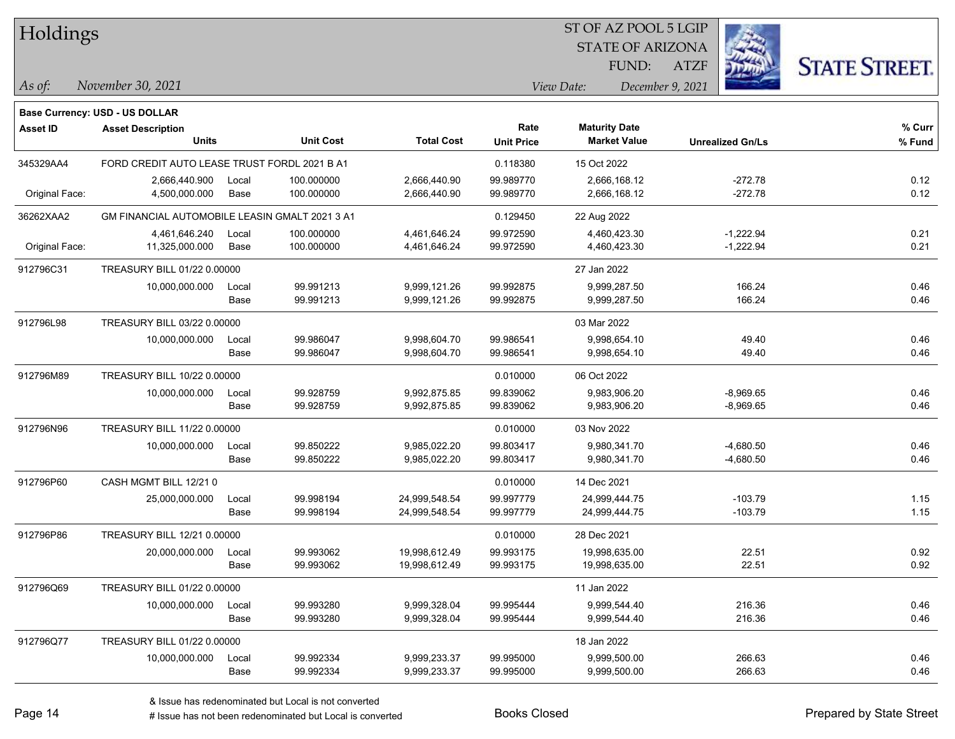| Holdings        |                                                |       |                  |                   |                   | ST OF AZ POOL 5 LGIP                        |                         |                      |
|-----------------|------------------------------------------------|-------|------------------|-------------------|-------------------|---------------------------------------------|-------------------------|----------------------|
|                 |                                                |       |                  |                   |                   | <b>STATE OF ARIZONA</b>                     |                         |                      |
|                 |                                                |       |                  |                   |                   | FUND:                                       | <b>ATZF</b>             | <b>STATE STREET.</b> |
| $\vert$ As of:  | November 30, 2021                              |       |                  |                   |                   | View Date:                                  | December 9, 2021        |                      |
|                 |                                                |       |                  |                   |                   |                                             |                         |                      |
|                 | Base Currency: USD - US DOLLAR                 |       |                  |                   | Rate              |                                             |                         |                      |
| <b>Asset ID</b> | <b>Asset Description</b><br><b>Units</b>       |       | <b>Unit Cost</b> | <b>Total Cost</b> | <b>Unit Price</b> | <b>Maturity Date</b><br><b>Market Value</b> | <b>Unrealized Gn/Ls</b> | % Curr<br>% Fund     |
| 345329AA4       | FORD CREDIT AUTO LEASE TRUST FORDL 2021 B A1   |       |                  |                   | 0.118380          | 15 Oct 2022                                 |                         |                      |
|                 | 2,666,440.900                                  | Local | 100.000000       | 2,666,440.90      | 99.989770         | 2,666,168.12                                | $-272.78$               | 0.12                 |
| Original Face:  | 4,500,000.000                                  | Base  | 100.000000       | 2,666,440.90      | 99.989770         | 2,666,168.12                                | $-272.78$               | 0.12                 |
| 36262XAA2       | GM FINANCIAL AUTOMOBILE LEASIN GMALT 2021 3 A1 |       |                  |                   | 0.129450          | 22 Aug 2022                                 |                         |                      |
|                 | 4,461,646.240                                  | Local | 100.000000       | 4,461,646.24      | 99.972590         | 4,460,423.30                                | $-1,222.94$             | 0.21                 |
| Original Face:  | 11,325,000.000                                 | Base  | 100.000000       | 4,461,646.24      | 99.972590         | 4,460,423.30                                | $-1,222.94$             | 0.21                 |
| 912796C31       | TREASURY BILL 01/22 0.00000                    |       |                  |                   |                   | 27 Jan 2022                                 |                         |                      |
|                 | 10,000,000.000                                 | Local | 99.991213        | 9,999,121.26      | 99.992875         | 9,999,287.50                                | 166.24                  | 0.46                 |
|                 |                                                | Base  | 99.991213        | 9,999,121.26      | 99.992875         | 9,999,287.50                                | 166.24                  | 0.46                 |
| 912796L98       | TREASURY BILL 03/22 0.00000                    |       |                  |                   |                   | 03 Mar 2022                                 |                         |                      |
|                 | 10,000,000.000                                 | Local | 99.986047        | 9,998,604.70      | 99.986541         | 9,998,654.10                                | 49.40                   | 0.46                 |
|                 |                                                | Base  | 99.986047        | 9,998,604.70      | 99.986541         | 9,998,654.10                                | 49.40                   | 0.46                 |
| 912796M89       | TREASURY BILL 10/22 0.00000                    |       |                  |                   | 0.010000          | 06 Oct 2022                                 |                         |                      |
|                 | 10,000,000.000                                 | Local | 99.928759        | 9,992,875.85      | 99.839062         | 9,983,906.20                                | $-8,969.65$             | 0.46                 |
|                 |                                                | Base  | 99.928759        | 9,992,875.85      | 99.839062         | 9,983,906.20                                | $-8,969.65$             | 0.46                 |
| 912796N96       | TREASURY BILL 11/22 0.00000                    |       |                  |                   | 0.010000          | 03 Nov 2022                                 |                         |                      |
|                 | 10,000,000.000                                 | Local | 99.850222        | 9,985,022.20      | 99.803417         | 9,980,341.70                                | $-4,680.50$             | 0.46                 |
|                 |                                                | Base  | 99.850222        | 9,985,022.20      | 99.803417         | 9,980,341.70                                | $-4,680.50$             | 0.46                 |
| 912796P60       | CASH MGMT BILL 12/21 0                         |       |                  |                   | 0.010000          | 14 Dec 2021                                 |                         |                      |
|                 | 25,000,000.000                                 | Local | 99.998194        | 24,999,548.54     | 99.997779         | 24,999,444.75                               | $-103.79$               | 1.15                 |
|                 |                                                | Base  | 99.998194        | 24,999,548.54     | 99.997779         | 24,999,444.75                               | $-103.79$               | 1.15                 |
| 912796P86       | TREASURY BILL 12/21 0.00000                    |       |                  |                   | 0.010000          | 28 Dec 2021                                 |                         |                      |
|                 | 20,000,000.000                                 | Local | 99.993062        | 19,998,612.49     | 99.993175         | 19,998,635.00                               | 22.51                   | 0.92                 |
|                 |                                                | Base  | 99.993062        | 19,998,612.49     | 99.993175         | 19,998,635.00                               | 22.51                   | 0.92                 |
| 912796Q69       | TREASURY BILL 01/22 0.00000                    |       |                  |                   |                   | 11 Jan 2022                                 |                         |                      |
|                 | 10,000,000.000                                 | Local | 99.993280        | 9,999,328.04      | 99.995444         | 9,999,544.40                                | 216.36                  | 0.46                 |
|                 |                                                | Base  | 99.993280        | 9,999,328.04      | 99.995444         | 9,999,544.40                                | 216.36                  | 0.46                 |
| 912796Q77       | TREASURY BILL 01/22 0.00000                    |       |                  |                   |                   | 18 Jan 2022                                 |                         |                      |
|                 | 10,000,000.000                                 | Local | 99.992334        | 9,999,233.37      | 99.995000         | 9,999,500.00                                | 266.63                  | 0.46                 |
|                 |                                                | Base  | 99.992334        | 9,999,233.37      | 99.995000         | 9,999,500.00                                | 266.63                  | 0.46                 |

# Issue has not been redenominated but Local is converted Books Closed Prepared by State Street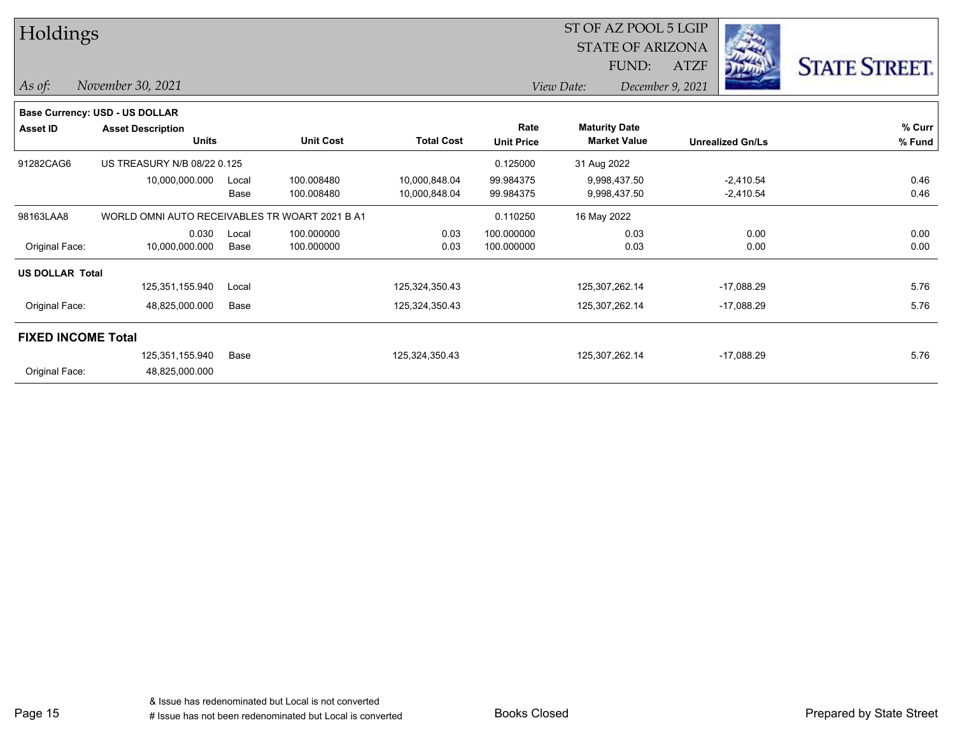| Holdings                  |                                                |       |                  |                   |                           | ST OF AZ POOL 5 LGIP                        |                         |                      |  |  |  |
|---------------------------|------------------------------------------------|-------|------------------|-------------------|---------------------------|---------------------------------------------|-------------------------|----------------------|--|--|--|
|                           |                                                |       |                  |                   |                           | <b>STATE OF ARIZONA</b>                     |                         |                      |  |  |  |
|                           |                                                |       |                  |                   |                           | FUND:                                       | <b>ATZF</b>             | <b>STATE STREET.</b> |  |  |  |
| $\vert$ As of:            | November 30, 2021                              |       |                  |                   |                           | View Date:                                  | December 9, 2021        |                      |  |  |  |
|                           | <b>Base Currency: USD - US DOLLAR</b>          |       |                  |                   |                           |                                             |                         |                      |  |  |  |
| Asset ID                  | <b>Asset Description</b><br><b>Units</b>       |       | <b>Unit Cost</b> | <b>Total Cost</b> | Rate<br><b>Unit Price</b> | <b>Maturity Date</b><br><b>Market Value</b> | <b>Unrealized Gn/Ls</b> | % Curr<br>% Fund     |  |  |  |
| 91282CAG6                 | US TREASURY N/B 08/22 0.125                    |       |                  |                   | 0.125000                  | 31 Aug 2022                                 |                         |                      |  |  |  |
|                           | 10,000,000.000                                 | Local | 100.008480       | 10,000,848.04     | 99.984375                 | 9,998,437.50                                | $-2,410.54$             | 0.46                 |  |  |  |
|                           |                                                | Base  | 100.008480       | 10,000,848.04     | 99.984375                 | 9,998,437.50                                | $-2,410.54$             | 0.46                 |  |  |  |
| 98163LAA8                 | WORLD OMNI AUTO RECEIVABLES TR WOART 2021 B A1 |       |                  |                   | 0.110250                  | 16 May 2022                                 |                         |                      |  |  |  |
|                           | 0.030                                          | Local | 100.000000       | 0.03              | 100.000000                | 0.03                                        | 0.00                    | 0.00                 |  |  |  |
| Original Face:            | 10,000,000.000                                 | Base  | 100.000000       | 0.03              | 100.000000                | 0.03                                        | 0.00                    | 0.00                 |  |  |  |
| <b>US DOLLAR Total</b>    |                                                |       |                  |                   |                           |                                             |                         |                      |  |  |  |
|                           | 125,351,155.940                                | Local |                  | 125,324,350.43    |                           | 125,307,262.14                              | $-17,088.29$            | 5.76                 |  |  |  |
| Original Face:            | 48,825,000.000                                 | Base  |                  | 125,324,350.43    |                           | 125,307,262.14                              | $-17,088.29$            | 5.76                 |  |  |  |
| <b>FIXED INCOME Total</b> |                                                |       |                  |                   |                           |                                             |                         |                      |  |  |  |
|                           | 125,351,155.940                                | Base  |                  | 125,324,350.43    |                           | 125,307,262.14                              | $-17,088.29$            | 5.76                 |  |  |  |
| Original Face:            | 48,825,000.000                                 |       |                  |                   |                           |                                             |                         |                      |  |  |  |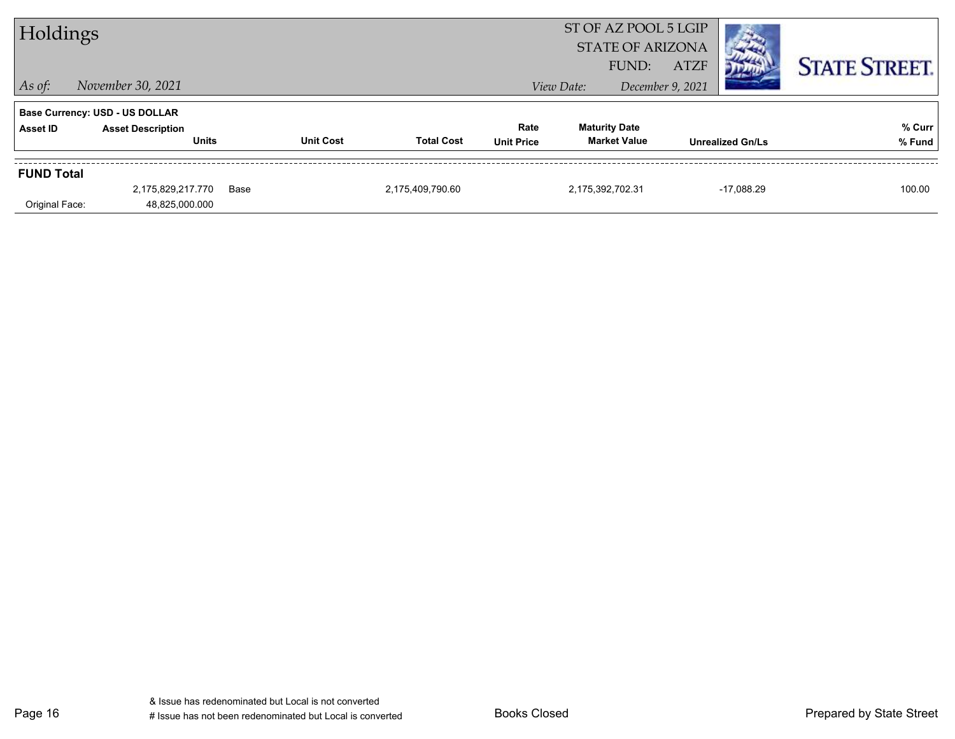| Holdings                |                                                                   |      |                  | ST OF AZ POOL 5 LGIP |                   |                      |                           |             |                         |                      |
|-------------------------|-------------------------------------------------------------------|------|------------------|----------------------|-------------------|----------------------|---------------------------|-------------|-------------------------|----------------------|
| <b>STATE OF ARIZONA</b> |                                                                   |      |                  |                      |                   |                      |                           |             |                         |                      |
| $\vert$ As of:          | November 30, 2021                                                 |      |                  |                      |                   | View Date:           | FUND:<br>December 9, 2021 | <b>ATZF</b> |                         | <b>STATE STREET.</b> |
|                         |                                                                   |      |                  |                      |                   |                      |                           |             |                         |                      |
| <b>Asset ID</b>         | <b>Base Currency: USD - US DOLLAR</b><br><b>Asset Description</b> |      |                  |                      | Rate              | <b>Maturity Date</b> |                           |             |                         | % Curr               |
|                         | <b>Units</b>                                                      |      | <b>Unit Cost</b> | <b>Total Cost</b>    | <b>Unit Price</b> |                      | <b>Market Value</b>       |             | <b>Unrealized Gn/Ls</b> | % Fund               |
| <b>FUND Total</b>       |                                                                   |      |                  |                      |                   |                      |                           |             |                         |                      |
|                         | 2,175,829,217.770                                                 | Base |                  | 2,175,409,790.60     |                   | 2,175,392,702.31     |                           |             | $-17.088.29$            | 100.00               |
| Original Face:          | 48,825,000.000                                                    |      |                  |                      |                   |                      |                           |             |                         |                      |

Page 16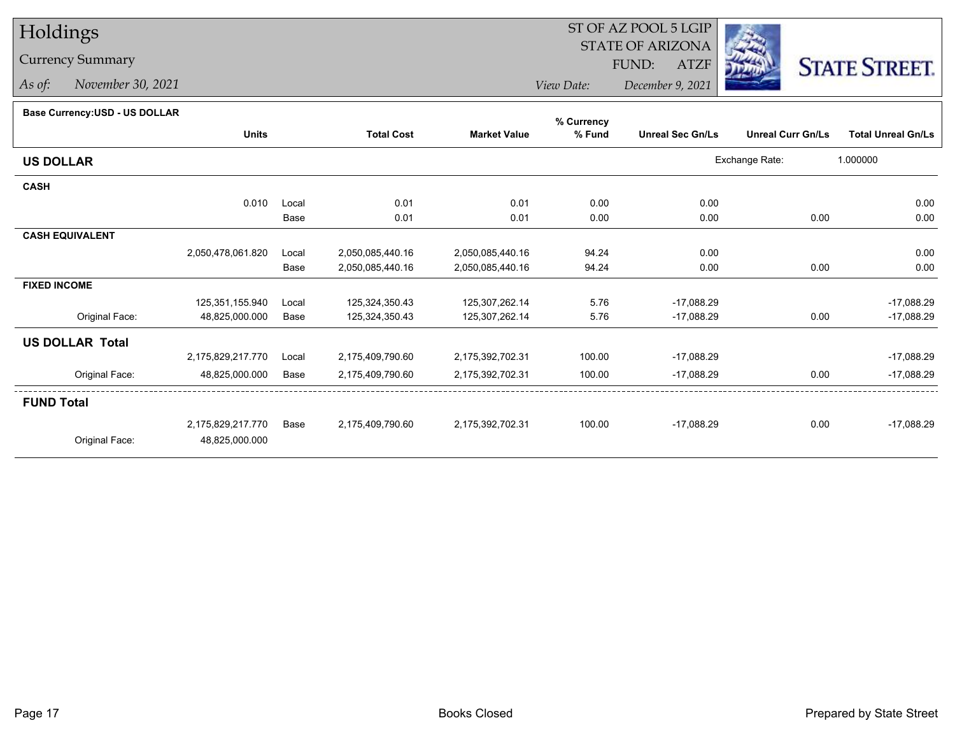# Holdings

# Currency Summary

*As of: November 30, 2021*

### ST OF AZ POOL 5 LGIP STATE OF ARIZONAATZF FUND:



*View Date:December 9, 2021*

## **Base Currency:USD - US DOLLAR**

|                        |                   |       |                   |                     | % Currency |                         |                          |                           |
|------------------------|-------------------|-------|-------------------|---------------------|------------|-------------------------|--------------------------|---------------------------|
|                        | <b>Units</b>      |       | <b>Total Cost</b> | <b>Market Value</b> | % Fund     | <b>Unreal Sec Gn/Ls</b> | <b>Unreal Curr Gn/Ls</b> | <b>Total Unreal Gn/Ls</b> |
| <b>US DOLLAR</b>       |                   |       |                   |                     |            |                         | Exchange Rate:           | 1.000000                  |
| <b>CASH</b>            |                   |       |                   |                     |            |                         |                          |                           |
|                        | 0.010             | Local | 0.01              | 0.01                | 0.00       | 0.00                    |                          | 0.00                      |
|                        |                   | Base  | 0.01              | 0.01                | 0.00       | 0.00                    | 0.00                     | 0.00                      |
| <b>CASH EQUIVALENT</b> |                   |       |                   |                     |            |                         |                          |                           |
|                        | 2,050,478,061.820 | Local | 2,050,085,440.16  | 2,050,085,440.16    | 94.24      | 0.00                    |                          | 0.00                      |
|                        |                   | Base  | 2,050,085,440.16  | 2,050,085,440.16    | 94.24      | 0.00                    | 0.00                     | 0.00                      |
| <b>FIXED INCOME</b>    |                   |       |                   |                     |            |                         |                          |                           |
|                        | 125,351,155.940   | Local | 125,324,350.43    | 125,307,262.14      | 5.76       | $-17,088.29$            |                          | $-17,088.29$              |
| Original Face:         | 48,825,000.000    | Base  | 125,324,350.43    | 125,307,262.14      | 5.76       | $-17,088.29$            | 0.00                     | $-17,088.29$              |
| <b>US DOLLAR Total</b> |                   |       |                   |                     |            |                         |                          |                           |
|                        | 2,175,829,217.770 | Local | 2,175,409,790.60  | 2,175,392,702.31    | 100.00     | $-17,088.29$            |                          | -17,088.29                |
| Original Face:         | 48,825,000.000    | Base  | 2,175,409,790.60  | 2,175,392,702.31    | 100.00     | $-17,088.29$            | 0.00                     | $-17,088.29$              |
| <b>FUND Total</b>      |                   |       |                   |                     |            |                         |                          |                           |
|                        | 2,175,829,217.770 | Base  | 2,175,409,790.60  | 2,175,392,702.31    | 100.00     | $-17,088.29$            | 0.00                     | $-17,088.29$              |
| Original Face:         | 48,825,000.000    |       |                   |                     |            |                         |                          |                           |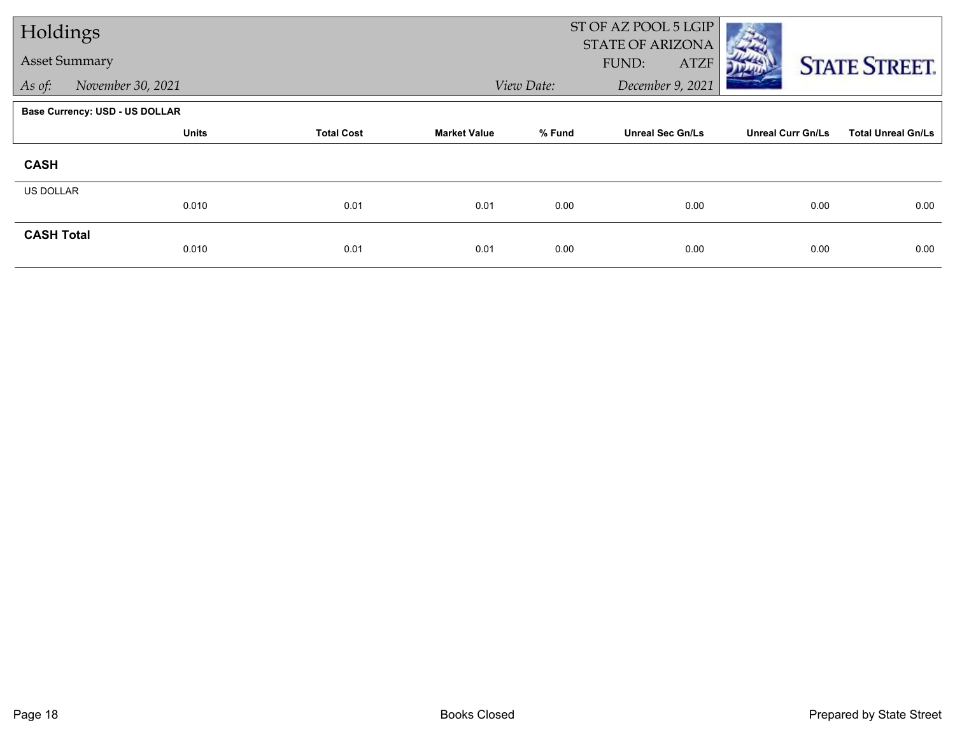| Holdings             |                                       |                   |                     |            | ST OF AZ POOL 5 LGIP<br><b>STATE OF ARIZONA</b> |                          |                           |
|----------------------|---------------------------------------|-------------------|---------------------|------------|-------------------------------------------------|--------------------------|---------------------------|
| <b>Asset Summary</b> |                                       |                   |                     |            | FUND:<br><b>ATZF</b>                            |                          | <b>STATE STREET.</b>      |
| As of:               | November 30, 2021                     |                   |                     | View Date: | December 9, 2021                                |                          |                           |
|                      | <b>Base Currency: USD - US DOLLAR</b> |                   |                     |            |                                                 |                          |                           |
|                      | <b>Units</b>                          | <b>Total Cost</b> | <b>Market Value</b> | % Fund     | <b>Unreal Sec Gn/Ls</b>                         | <b>Unreal Curr Gn/Ls</b> | <b>Total Unreal Gn/Ls</b> |
| <b>CASH</b>          |                                       |                   |                     |            |                                                 |                          |                           |
| <b>US DOLLAR</b>     |                                       |                   |                     |            |                                                 |                          |                           |
|                      | 0.010                                 | 0.01              | 0.01                | 0.00       | 0.00                                            | 0.00                     | 0.00                      |
| <b>CASH Total</b>    | 0.010                                 | 0.01              | 0.01                | 0.00       | 0.00                                            | 0.00                     | 0.00                      |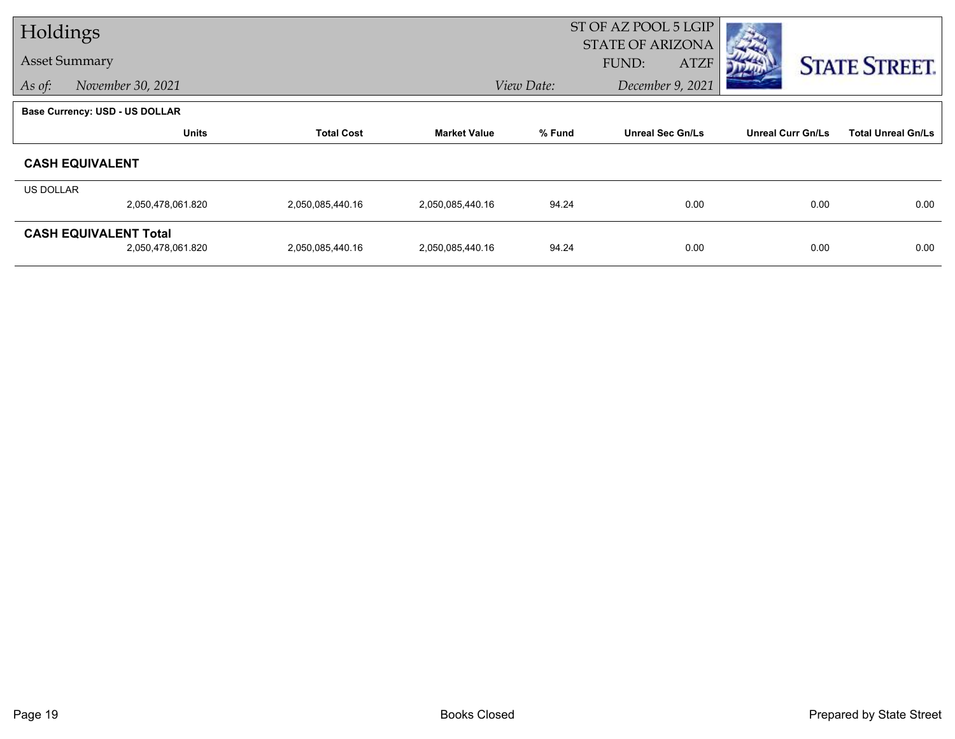| Holdings         |                                                   |                   |                     |            | ST OF AZ POOL 5 LGIP                            |                          |                           |
|------------------|---------------------------------------------------|-------------------|---------------------|------------|-------------------------------------------------|--------------------------|---------------------------|
|                  | <b>Asset Summary</b>                              |                   |                     |            | <b>STATE OF ARIZONA</b><br>FUND:<br><b>ATZF</b> |                          |                           |
| As of:           | November 30, 2021                                 |                   |                     | View Date: | December 9, 2021                                |                          | <b>STATE STREET.</b>      |
|                  | <b>Base Currency: USD - US DOLLAR</b>             |                   |                     |            |                                                 |                          |                           |
|                  | <b>Units</b>                                      | <b>Total Cost</b> | <b>Market Value</b> | % Fund     | <b>Unreal Sec Gn/Ls</b>                         | <b>Unreal Curr Gn/Ls</b> | <b>Total Unreal Gn/Ls</b> |
|                  | <b>CASH EQUIVALENT</b>                            |                   |                     |            |                                                 |                          |                           |
| <b>US DOLLAR</b> |                                                   |                   |                     |            |                                                 |                          |                           |
|                  | 2,050,478,061.820                                 | 2,050,085,440.16  | 2,050,085,440.16    | 94.24      | 0.00                                            | 0.00                     | 0.00                      |
|                  | <b>CASH EQUIVALENT Total</b><br>2,050,478,061.820 | 2,050,085,440.16  | 2,050,085,440.16    | 94.24      | 0.00                                            | 0.00                     | 0.00                      |
|                  |                                                   |                   |                     |            |                                                 |                          |                           |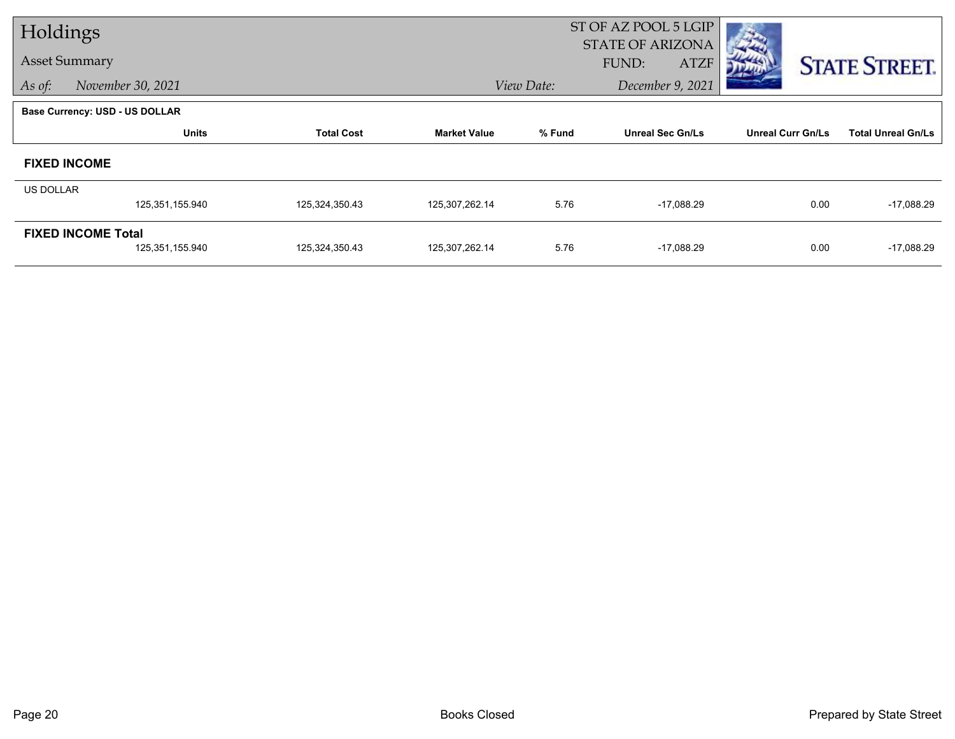| Holdings  |                                |                   |                     |            | ST OF AZ POOL 5 LGIP                            |                          |                           |
|-----------|--------------------------------|-------------------|---------------------|------------|-------------------------------------------------|--------------------------|---------------------------|
|           | <b>Asset Summary</b>           |                   |                     |            | <b>STATE OF ARIZONA</b><br>FUND:<br><b>ATZF</b> |                          | <b>STATE STREET.</b>      |
| As of:    | November 30, 2021              |                   |                     | View Date: | December 9, 2021                                |                          |                           |
|           | Base Currency: USD - US DOLLAR |                   |                     |            |                                                 |                          |                           |
|           | Units                          | <b>Total Cost</b> | <b>Market Value</b> | % Fund     | <b>Unreal Sec Gn/Ls</b>                         | <b>Unreal Curr Gn/Ls</b> | <b>Total Unreal Gn/Ls</b> |
|           | <b>FIXED INCOME</b>            |                   |                     |            |                                                 |                          |                           |
| US DOLLAR |                                |                   |                     |            |                                                 |                          |                           |
|           | 125,351,155.940                | 125,324,350.43    | 125,307,262.14      | 5.76       | $-17,088.29$                                    | 0.00                     | $-17,088.29$              |
|           | <b>FIXED INCOME Total</b>      |                   |                     |            |                                                 |                          |                           |
|           | 125,351,155.940                | 125,324,350.43    | 125,307,262.14      | 5.76       | $-17,088.29$                                    | 0.00                     | $-17,088.29$              |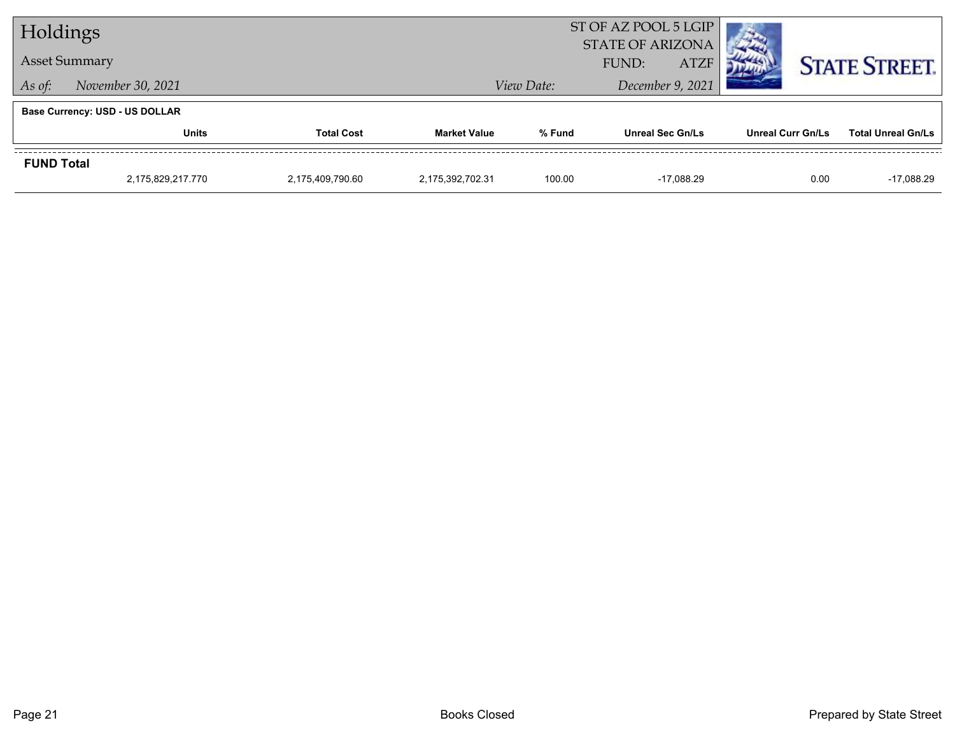| Holdings                          |                                       |                  | ST OF AZ POOL 5 LGIP<br><b>STATE OF ARIZONA</b> |                      |                         |  |                          |      |                           |
|-----------------------------------|---------------------------------------|------------------|-------------------------------------------------|----------------------|-------------------------|--|--------------------------|------|---------------------------|
| <b>Asset Summary</b>              |                                       |                  |                                                 | FUND:<br><b>ATZF</b> |                         |  |                          |      | <b>STATE STREET.</b>      |
| November 30, 2021<br>As of:       |                                       |                  |                                                 | View Date:           | December 9, 2021        |  |                          |      |                           |
|                                   | <b>Base Currency: USD - US DOLLAR</b> |                  |                                                 |                      |                         |  |                          |      |                           |
| <b>Units</b><br><b>Total Cost</b> |                                       |                  | <b>Market Value</b>                             | % Fund               | <b>Unreal Sec Gn/Ls</b> |  | <b>Unreal Curr Gn/Ls</b> |      | <b>Total Unreal Gn/Ls</b> |
| <b>FUND Total</b>                 |                                       |                  |                                                 |                      |                         |  |                          |      |                           |
|                                   | 2.175.829.217.770                     | 2.175.409.790.60 | 2.175.392.702.31                                | 100.00               | -17.088.29              |  |                          | 0.00 | $-17.088.29$              |